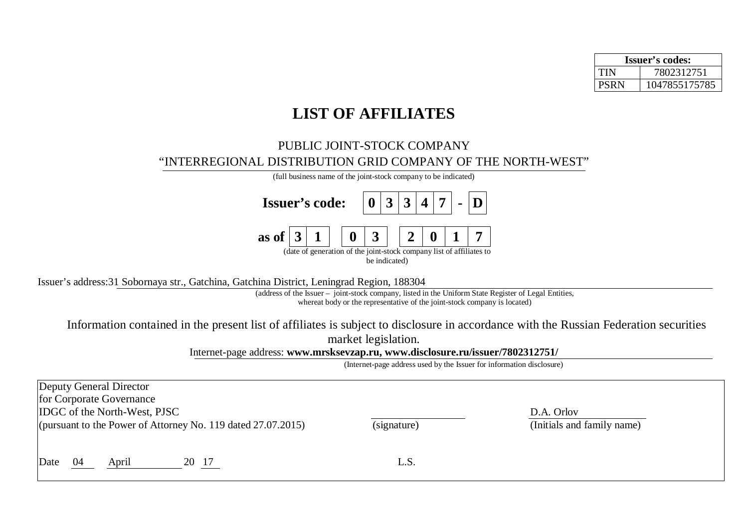| <b>Issuer's codes:</b> |               |  |  |  |
|------------------------|---------------|--|--|--|
| TIN                    | 7802312751    |  |  |  |
| <b>PSRN</b>            | 1047855175785 |  |  |  |

## **LIST OF AFFILIATES**

## PUBLIC JOINT-STOCK COMPANY "INTERREGIONAL DISTRIBUTION GRID COMPANY OF THE NORTH-WEST"

(full business name of the joint-stock company to be indicated) **Issuer's code: 0 3 3 4 7 - D as of**  $\begin{array}{|c|c|c|c|c|c|} \hline 3 & 1 & 0 & 3 & 2 & 0 & 1 & 7 \ \hline \end{array}$ (date of generation of the joint-stock company list of affiliates to be indicated)

Issuer's address:31 Sobornaya str., Gatchina, Gatchina District, Leningrad Region, 188304

(address of the Issuer – joint-stock company, listed in the Uniform State Register of Legal Entities, whereat body or the representative of the joint-stock company is located)

Information contained in the present list of affiliates is subject to disclosure in accordance with the Russian Federation securities market legislation.

Internet-page address: **[www.mrsksevzap.ru](http://www.mrsksevzap.ru), [www.disclosure.ru/issuer/7802312751/](http://www.disclosure.ru/issuer/7802312751/)**

(Internet-page address used by the Issuer for information disclosure)

| Deputy General Director<br>for Corporate Governance<br><b>IDGC</b> of the North-West, PJSC<br>(pursuant to the Power of Attorney No. 119 dated $27.07.2015$ ) | (signature) | D.A. Orlov<br>(Initials and family name) |
|---------------------------------------------------------------------------------------------------------------------------------------------------------------|-------------|------------------------------------------|
| Date<br>20 17<br>-04<br>April                                                                                                                                 | L.S.        |                                          |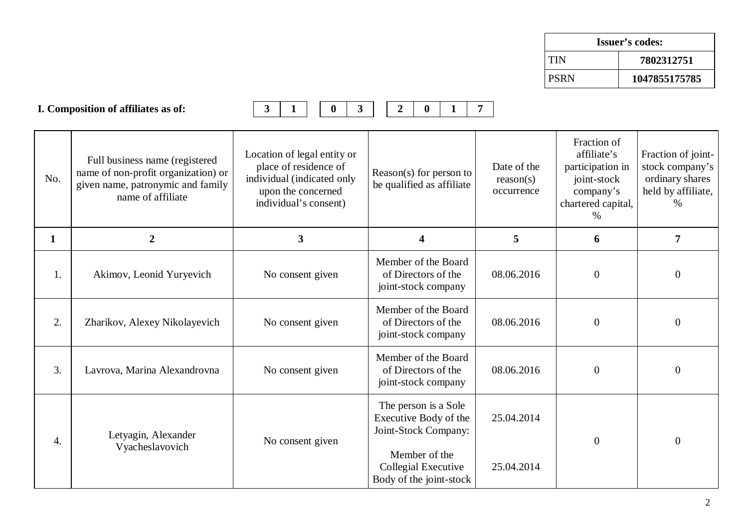| Issuer's codes: |               |  |  |  |
|-----------------|---------------|--|--|--|
| <b>TIN</b>      | 7802312751    |  |  |  |
| I PSRN          | 1047855175785 |  |  |  |

|              | I. Composition of affiliates as of:                                                                                             | $\mathbf{3}$<br>$\mathbf{3}$<br>$\mathbf{0}$<br>1                                                                                 | $\overline{2}$<br>$\bf{0}$<br>$\mathbf{1}$                                                                                               | $\overline{7}$                         |                                                                                                       |                                                                                     |
|--------------|---------------------------------------------------------------------------------------------------------------------------------|-----------------------------------------------------------------------------------------------------------------------------------|------------------------------------------------------------------------------------------------------------------------------------------|----------------------------------------|-------------------------------------------------------------------------------------------------------|-------------------------------------------------------------------------------------|
| No.          | Full business name (registered<br>name of non-profit organization) or<br>given name, patronymic and family<br>name of affiliate | Location of legal entity or<br>place of residence of<br>individual (indicated only<br>upon the concerned<br>individual's consent) | Reason(s) for person to<br>be qualified as affiliate                                                                                     | Date of the<br>reason(s)<br>occurrence | Fraction of<br>affiliate's<br>participation in<br>joint-stock<br>company's<br>chartered capital,<br>% | Fraction of joint-<br>stock company's<br>ordinary shares<br>held by affiliate,<br>% |
| $\mathbf{1}$ | $\overline{2}$                                                                                                                  | 3                                                                                                                                 | 4                                                                                                                                        | 5                                      | 6                                                                                                     | $\overline{7}$                                                                      |
| 1.           | Akimov, Leonid Yuryevich                                                                                                        | No consent given                                                                                                                  | Member of the Board<br>of Directors of the<br>joint-stock company                                                                        | 08.06.2016                             | $\overline{0}$                                                                                        | $\boldsymbol{0}$                                                                    |
| 2.           | Zharikov, Alexey Nikolayevich                                                                                                   | No consent given                                                                                                                  | Member of the Board<br>of Directors of the<br>joint-stock company                                                                        | 08.06.2016                             | $\overline{0}$                                                                                        | $\mathbf{0}$                                                                        |
| 3.           | Lavrova, Marina Alexandrovna                                                                                                    | No consent given                                                                                                                  | Member of the Board<br>of Directors of the<br>joint-stock company                                                                        | 08.06.2016                             | $\overline{0}$                                                                                        | $\mathbf{0}$                                                                        |
| 4.           | Letyagin, Alexander<br>Vyacheslavovich                                                                                          | No consent given                                                                                                                  | The person is a Sole<br>Executive Body of the<br>Joint-Stock Company:<br>Member of the<br>Collegial Executive<br>Body of the joint-stock | 25.04.2014<br>25.04.2014               | $\overline{0}$                                                                                        | $\theta$                                                                            |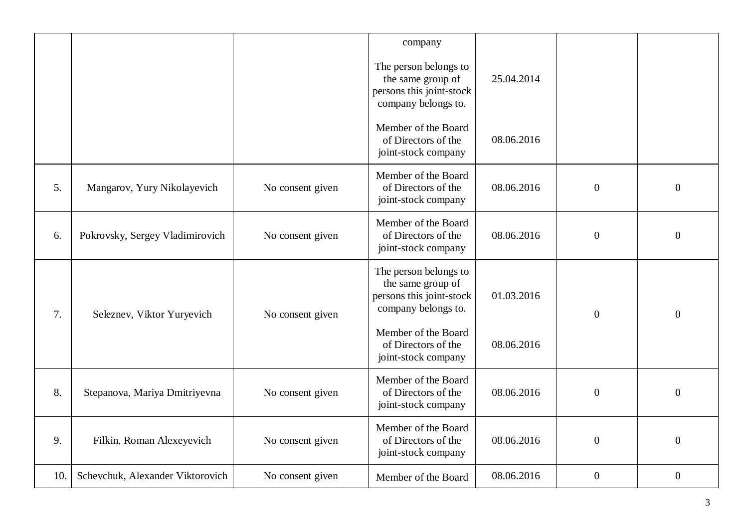|     |                                  |                  | company                                                                                       |            |                  |                  |
|-----|----------------------------------|------------------|-----------------------------------------------------------------------------------------------|------------|------------------|------------------|
|     |                                  |                  | The person belongs to<br>the same group of<br>persons this joint-stock<br>company belongs to. | 25.04.2014 |                  |                  |
|     |                                  |                  | Member of the Board<br>of Directors of the<br>joint-stock company                             | 08.06.2016 |                  |                  |
| 5.  | Mangarov, Yury Nikolayevich      | No consent given | Member of the Board<br>of Directors of the<br>joint-stock company                             | 08.06.2016 | $\overline{0}$   | $\boldsymbol{0}$ |
| 6.  | Pokrovsky, Sergey Vladimirovich  | No consent given | Member of the Board<br>of Directors of the<br>joint-stock company                             | 08.06.2016 | $\boldsymbol{0}$ | $\boldsymbol{0}$ |
| 7.  | Seleznev, Viktor Yuryevich       | No consent given | The person belongs to<br>the same group of<br>persons this joint-stock<br>company belongs to. | 01.03.2016 | $\overline{0}$   | $\boldsymbol{0}$ |
|     |                                  |                  | Member of the Board<br>of Directors of the<br>joint-stock company                             | 08.06.2016 |                  |                  |
| 8.  | Stepanova, Mariya Dmitriyevna    | No consent given | Member of the Board<br>of Directors of the<br>joint-stock company                             | 08.06.2016 | $\boldsymbol{0}$ | $\boldsymbol{0}$ |
| 9.  | Filkin, Roman Alexeyevich        | No consent given | Member of the Board<br>of Directors of the<br>joint-stock company                             | 08.06.2016 | $\boldsymbol{0}$ | $\overline{0}$   |
| 10. | Schevchuk, Alexander Viktorovich | No consent given | Member of the Board                                                                           | 08.06.2016 | $\boldsymbol{0}$ | $\boldsymbol{0}$ |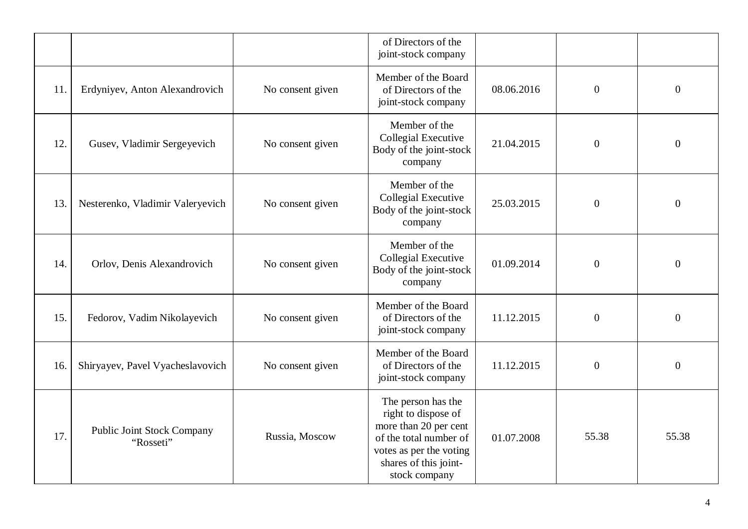|     |                                                |                  | of Directors of the<br>joint-stock company                                                                                                                        |            |                  |                  |
|-----|------------------------------------------------|------------------|-------------------------------------------------------------------------------------------------------------------------------------------------------------------|------------|------------------|------------------|
| 11. | Erdyniyev, Anton Alexandrovich                 | No consent given | Member of the Board<br>of Directors of the<br>joint-stock company                                                                                                 | 08.06.2016 | $\overline{0}$   | $\boldsymbol{0}$ |
| 12. | Gusev, Vladimir Sergeyevich                    | No consent given | Member of the<br>Collegial Executive<br>Body of the joint-stock<br>company                                                                                        | 21.04.2015 | $\boldsymbol{0}$ | $\boldsymbol{0}$ |
| 13. | Nesterenko, Vladimir Valeryevich               | No consent given | Member of the<br>Collegial Executive<br>Body of the joint-stock<br>company                                                                                        | 25.03.2015 | $\overline{0}$   | $\boldsymbol{0}$ |
| 14. | Orlov, Denis Alexandrovich                     | No consent given | Member of the<br>Collegial Executive<br>Body of the joint-stock<br>company                                                                                        | 01.09.2014 | $\boldsymbol{0}$ | $\boldsymbol{0}$ |
| 15. | Fedorov, Vadim Nikolayevich                    | No consent given | Member of the Board<br>of Directors of the<br>joint-stock company                                                                                                 | 11.12.2015 | $\overline{0}$   | $\boldsymbol{0}$ |
| 16. | Shiryayev, Pavel Vyacheslavovich               | No consent given | Member of the Board<br>of Directors of the<br>joint-stock company                                                                                                 | 11.12.2015 | $\overline{0}$   | $\boldsymbol{0}$ |
| 17. | <b>Public Joint Stock Company</b><br>"Rosseti" | Russia, Moscow   | The person has the<br>right to dispose of<br>more than 20 per cent<br>of the total number of<br>votes as per the voting<br>shares of this joint-<br>stock company | 01.07.2008 | 55.38            | 55.38            |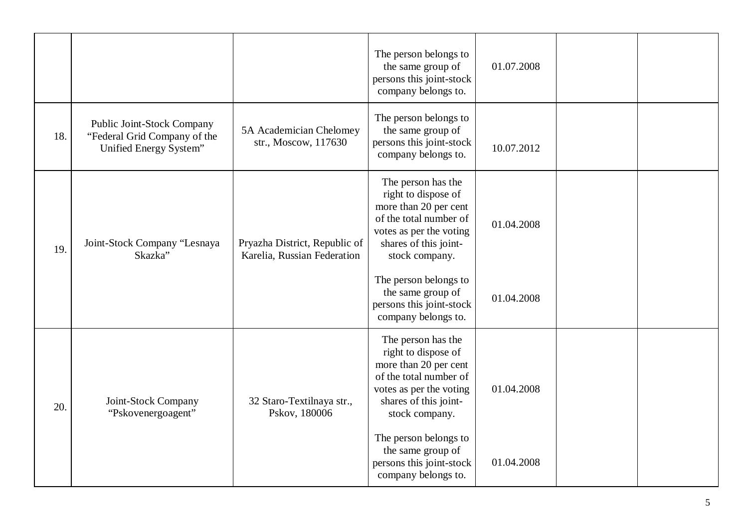|     |                                                                                      |                                                              | The person belongs to<br>the same group of<br>persons this joint-stock<br>company belongs to.                                                                      | 01.07.2008 |  |
|-----|--------------------------------------------------------------------------------------|--------------------------------------------------------------|--------------------------------------------------------------------------------------------------------------------------------------------------------------------|------------|--|
| 18. | Public Joint-Stock Company<br>"Federal Grid Company of the<br>Unified Energy System" | 5A Academician Chelomey<br>str., Moscow, 117630              | The person belongs to<br>the same group of<br>persons this joint-stock<br>company belongs to.                                                                      | 10.07.2012 |  |
| 19. | Joint-Stock Company "Lesnaya<br>Skazka"                                              | Pryazha District, Republic of<br>Karelia, Russian Federation | The person has the<br>right to dispose of<br>more than 20 per cent<br>of the total number of<br>votes as per the voting<br>shares of this joint-<br>stock company. | 01.04.2008 |  |
|     |                                                                                      |                                                              | The person belongs to<br>the same group of<br>persons this joint-stock<br>company belongs to.                                                                      | 01.04.2008 |  |
| 20. | Joint-Stock Company<br>"Pskovenergoagent"                                            | 32 Staro-Textilnaya str.,<br>Pskov, 180006                   | The person has the<br>right to dispose of<br>more than 20 per cent<br>of the total number of<br>votes as per the voting<br>shares of this joint-<br>stock company. | 01.04.2008 |  |
|     |                                                                                      |                                                              | The person belongs to<br>the same group of<br>persons this joint-stock<br>company belongs to.                                                                      | 01.04.2008 |  |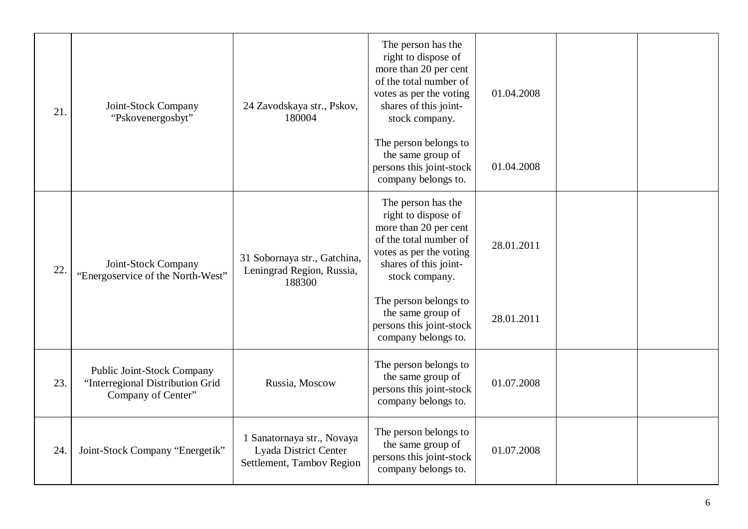| 21. | Joint-Stock Company<br>"Pskovenergosbyt"                                                    | 24 Zavodskaya str., Pskov,<br>180004                                             | The person has the<br>right to dispose of<br>more than 20 per cent<br>of the total number of<br>votes as per the voting<br>shares of this joint-<br>stock company.<br>The person belongs to | 01.04.2008 |  |
|-----|---------------------------------------------------------------------------------------------|----------------------------------------------------------------------------------|---------------------------------------------------------------------------------------------------------------------------------------------------------------------------------------------|------------|--|
|     |                                                                                             |                                                                                  | the same group of<br>persons this joint-stock<br>company belongs to.                                                                                                                        | 01.04.2008 |  |
| 22. | Joint-Stock Company<br>"Energoservice of the North-West"                                    | 31 Sobornaya str., Gatchina,<br>Leningrad Region, Russia,<br>188300              | The person has the<br>right to dispose of<br>more than 20 per cent<br>of the total number of<br>votes as per the voting<br>shares of this joint-<br>stock company.                          | 28.01.2011 |  |
|     |                                                                                             |                                                                                  | The person belongs to<br>the same group of<br>persons this joint-stock<br>company belongs to.                                                                                               | 28.01.2011 |  |
| 23. | <b>Public Joint-Stock Company</b><br>"Interregional Distribution Grid<br>Company of Center" | Russia, Moscow                                                                   | The person belongs to<br>the same group of<br>persons this joint-stock<br>company belongs to.                                                                                               | 01.07.2008 |  |
| 24. | Joint-Stock Company "Energetik"                                                             | 1 Sanatornaya str., Novaya<br>Lyada District Center<br>Settlement, Tambov Region | The person belongs to<br>the same group of<br>persons this joint-stock<br>company belongs to.                                                                                               | 01.07.2008 |  |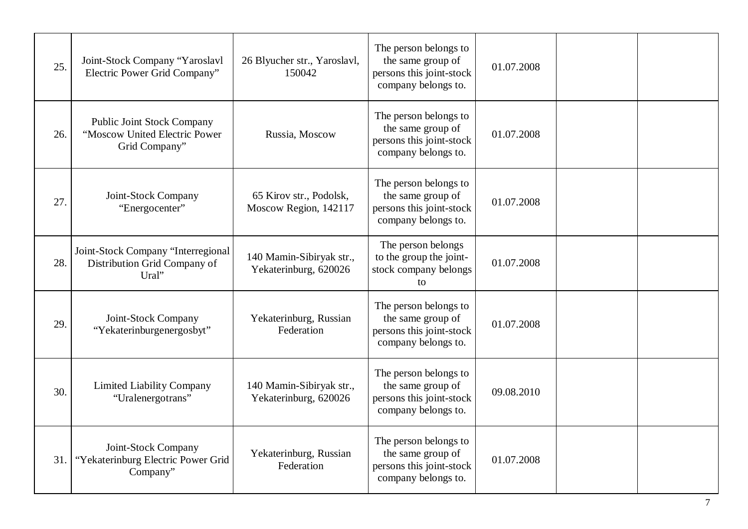| 25. | Joint-Stock Company "Yaroslavl<br>Electric Power Grid Company"                      | 26 Blyucher str., Yaroslavl,<br>150042            | The person belongs to<br>the same group of<br>persons this joint-stock<br>company belongs to. | 01.07.2008 |  |
|-----|-------------------------------------------------------------------------------------|---------------------------------------------------|-----------------------------------------------------------------------------------------------|------------|--|
| 26. | <b>Public Joint Stock Company</b><br>"Moscow United Electric Power<br>Grid Company" | Russia, Moscow                                    | The person belongs to<br>the same group of<br>persons this joint-stock<br>company belongs to. | 01.07.2008 |  |
| 27. | Joint-Stock Company<br>"Energocenter"                                               | 65 Kirov str., Podolsk,<br>Moscow Region, 142117  | The person belongs to<br>the same group of<br>persons this joint-stock<br>company belongs to. | 01.07.2008 |  |
| 28. | Joint-Stock Company "Interregional<br>Distribution Grid Company of<br>Ural"         | 140 Mamin-Sibiryak str.,<br>Yekaterinburg, 620026 | The person belongs<br>to the group the joint-<br>stock company belongs<br>to                  | 01.07.2008 |  |
| 29. | Joint-Stock Company<br>"Yekaterinburgenergosbyt"                                    | Yekaterinburg, Russian<br>Federation              | The person belongs to<br>the same group of<br>persons this joint-stock<br>company belongs to. | 01.07.2008 |  |
| 30. | <b>Limited Liability Company</b><br>"Uralenergotrans"                               | 140 Mamin-Sibiryak str.,<br>Yekaterinburg, 620026 | The person belongs to<br>the same group of<br>persons this joint-stock<br>company belongs to. | 09.08.2010 |  |
| 31. | Joint-Stock Company<br>"Yekaterinburg Electric Power Grid<br>Company"               | Yekaterinburg, Russian<br>Federation              | The person belongs to<br>the same group of<br>persons this joint-stock<br>company belongs to. | 01.07.2008 |  |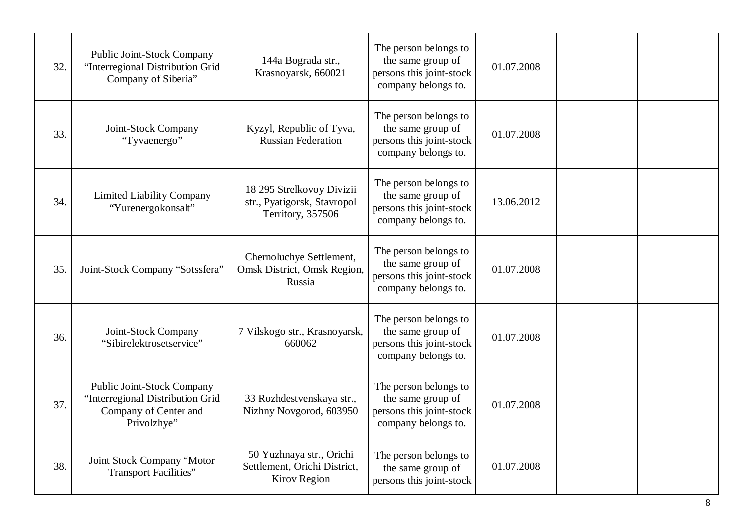| 32. | Public Joint-Stock Company<br>"Interregional Distribution Grid<br>Company of Siberia"                  | 144a Bograda str.,<br>Krasnoyarsk, 660021                                       | The person belongs to<br>the same group of<br>persons this joint-stock<br>company belongs to. | 01.07.2008 |  |
|-----|--------------------------------------------------------------------------------------------------------|---------------------------------------------------------------------------------|-----------------------------------------------------------------------------------------------|------------|--|
| 33. | Joint-Stock Company<br>"Tyvaenergo"                                                                    | Kyzyl, Republic of Tyva,<br><b>Russian Federation</b>                           | The person belongs to<br>the same group of<br>persons this joint-stock<br>company belongs to. | 01.07.2008 |  |
| 34. | <b>Limited Liability Company</b><br>"Yurenergokonsalt"                                                 | 18 295 Strelkovoy Divizii<br>str., Pyatigorsk, Stavropol<br>Territory, 357506   | The person belongs to<br>the same group of<br>persons this joint-stock<br>company belongs to. | 13.06.2012 |  |
| 35. | Joint-Stock Company "Sotssfera"                                                                        | Chernoluchye Settlement,<br>Omsk District, Omsk Region,<br>Russia               | The person belongs to<br>the same group of<br>persons this joint-stock<br>company belongs to. | 01.07.2008 |  |
| 36. | Joint-Stock Company<br>"Sibirelektrosetservice"                                                        | 7 Vilskogo str., Krasnoyarsk,<br>660062                                         | The person belongs to<br>the same group of<br>persons this joint-stock<br>company belongs to. | 01.07.2008 |  |
| 37. | Public Joint-Stock Company<br>"Interregional Distribution Grid<br>Company of Center and<br>Privolzhye" | 33 Rozhdestvenskaya str.,<br>Nizhny Novgorod, 603950                            | The person belongs to<br>the same group of<br>persons this joint-stock<br>company belongs to. | 01.07.2008 |  |
| 38. | Joint Stock Company "Motor<br><b>Transport Facilities"</b>                                             | 50 Yuzhnaya str., Orichi<br>Settlement, Orichi District,<br><b>Kirov Region</b> | The person belongs to<br>the same group of<br>persons this joint-stock                        | 01.07.2008 |  |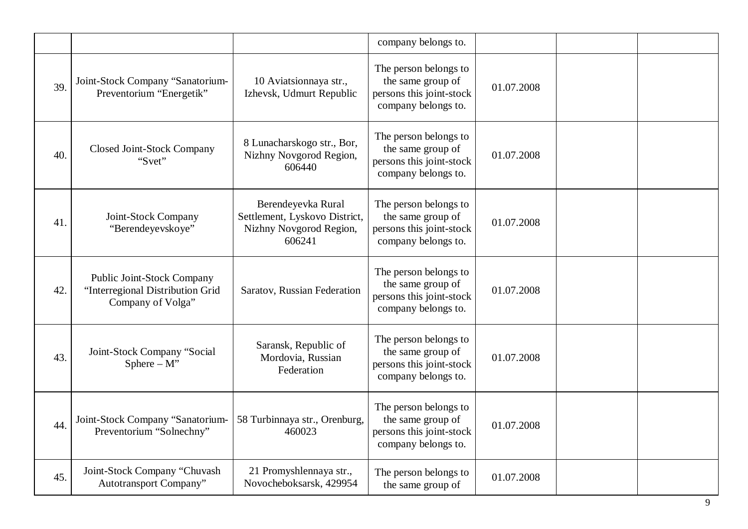|     |                                                                                     |                                                                                          | company belongs to.                                                                           |            |  |
|-----|-------------------------------------------------------------------------------------|------------------------------------------------------------------------------------------|-----------------------------------------------------------------------------------------------|------------|--|
| 39. | Joint-Stock Company "Sanatorium-<br>Preventorium "Energetik"                        | 10 Aviatsionnaya str.,<br>Izhevsk, Udmurt Republic                                       | The person belongs to<br>the same group of<br>persons this joint-stock<br>company belongs to. | 01.07.2008 |  |
| 40. | <b>Closed Joint-Stock Company</b><br>"Svet"                                         | 8 Lunacharskogo str., Bor,<br>Nizhny Novgorod Region,<br>606440                          | The person belongs to<br>the same group of<br>persons this joint-stock<br>company belongs to. | 01.07.2008 |  |
| 41. | Joint-Stock Company<br>"Berendeyevskoye"                                            | Berendeyevka Rural<br>Settlement, Lyskovo District,<br>Nizhny Novgorod Region,<br>606241 | The person belongs to<br>the same group of<br>persons this joint-stock<br>company belongs to. | 01.07.2008 |  |
| 42. | Public Joint-Stock Company<br>"Interregional Distribution Grid<br>Company of Volga" | Saratov, Russian Federation                                                              | The person belongs to<br>the same group of<br>persons this joint-stock<br>company belongs to. | 01.07.2008 |  |
| 43. | Joint-Stock Company "Social<br>Sphere $-M$ "                                        | Saransk, Republic of<br>Mordovia, Russian<br>Federation                                  | The person belongs to<br>the same group of<br>persons this joint-stock<br>company belongs to. | 01.07.2008 |  |
| 44. | Joint-Stock Company "Sanatorium-<br>Preventorium "Solnechny"                        | 58 Turbinnaya str., Orenburg,<br>460023                                                  | The person belongs to<br>the same group of<br>persons this joint-stock<br>company belongs to. | 01.07.2008 |  |
| 45. | Joint-Stock Company "Chuvash<br>Autotransport Company"                              | 21 Promyshlennaya str.,<br>Novocheboksarsk, 429954                                       | The person belongs to<br>the same group of                                                    | 01.07.2008 |  |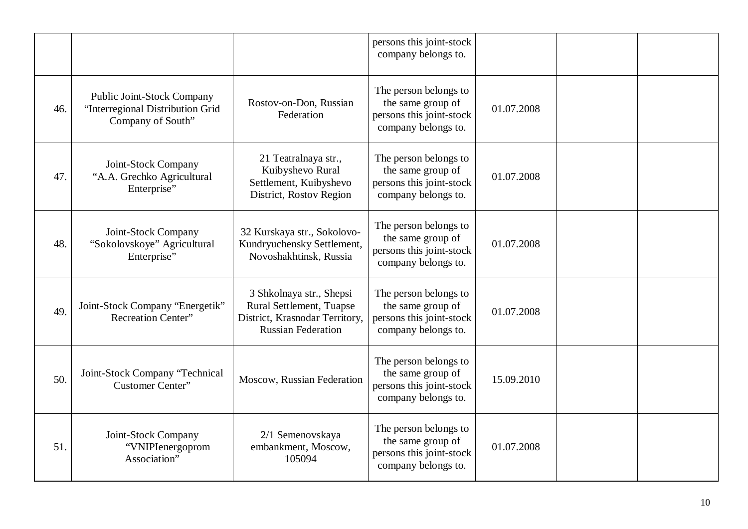|     |                                                                                     |                                                                                                                     | persons this joint-stock<br>company belongs to.                                               |            |  |
|-----|-------------------------------------------------------------------------------------|---------------------------------------------------------------------------------------------------------------------|-----------------------------------------------------------------------------------------------|------------|--|
| 46. | Public Joint-Stock Company<br>"Interregional Distribution Grid<br>Company of South" | Rostov-on-Don, Russian<br>Federation                                                                                | The person belongs to<br>the same group of<br>persons this joint-stock<br>company belongs to. | 01.07.2008 |  |
| 47. | Joint-Stock Company<br>"A.A. Grechko Agricultural<br>Enterprise"                    | 21 Teatralnaya str.,<br>Kuibyshevo Rural<br>Settlement, Kuibyshevo<br>District, Rostov Region                       | The person belongs to<br>the same group of<br>persons this joint-stock<br>company belongs to. | 01.07.2008 |  |
| 48. | Joint-Stock Company<br>"Sokolovskoye" Agricultural<br>Enterprise"                   | 32 Kurskaya str., Sokolovo-<br>Kundryuchensky Settlement,<br>Novoshakhtinsk, Russia                                 | The person belongs to<br>the same group of<br>persons this joint-stock<br>company belongs to. | 01.07.2008 |  |
| 49. | Joint-Stock Company "Energetik"<br><b>Recreation Center"</b>                        | 3 Shkolnaya str., Shepsi<br>Rural Settlement, Tuapse<br>District, Krasnodar Territory,<br><b>Russian Federation</b> | The person belongs to<br>the same group of<br>persons this joint-stock<br>company belongs to. | 01.07.2008 |  |
| 50. | Joint-Stock Company "Technical<br>Customer Center"                                  | Moscow, Russian Federation                                                                                          | The person belongs to<br>the same group of<br>persons this joint-stock<br>company belongs to. | 15.09.2010 |  |
| 51. | Joint-Stock Company<br>"VNIPIenergoprom<br>Association"                             | 2/1 Semenovskaya<br>embankment, Moscow,<br>105094                                                                   | The person belongs to<br>the same group of<br>persons this joint-stock<br>company belongs to. | 01.07.2008 |  |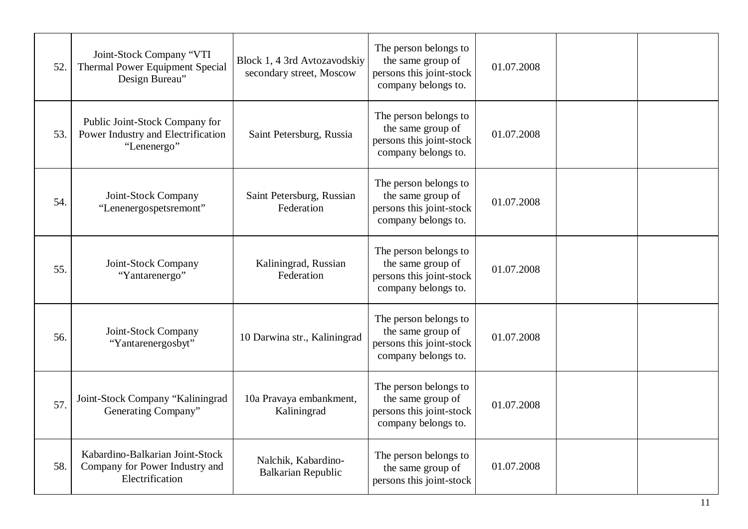| 52. | Joint-Stock Company "VTI<br>Thermal Power Equipment Special<br>Design Bureau"        | Block 1, 4 3rd Avtozavodskiy<br>secondary street, Moscow | The person belongs to<br>the same group of<br>persons this joint-stock<br>company belongs to. | 01.07.2008 |  |
|-----|--------------------------------------------------------------------------------------|----------------------------------------------------------|-----------------------------------------------------------------------------------------------|------------|--|
| 53. | Public Joint-Stock Company for<br>Power Industry and Electrification<br>"Lenenergo"  | Saint Petersburg, Russia                                 | The person belongs to<br>the same group of<br>persons this joint-stock<br>company belongs to. | 01.07.2008 |  |
| 54. | Joint-Stock Company<br>"Lenenergospetsremont"                                        | Saint Petersburg, Russian<br>Federation                  | The person belongs to<br>the same group of<br>persons this joint-stock<br>company belongs to. | 01.07.2008 |  |
| 55. | Joint-Stock Company<br>"Yantarenergo"                                                | Kaliningrad, Russian<br>Federation                       | The person belongs to<br>the same group of<br>persons this joint-stock<br>company belongs to. | 01.07.2008 |  |
| 56. | Joint-Stock Company<br>"Yantarenergosbyt"                                            | 10 Darwina str., Kaliningrad                             | The person belongs to<br>the same group of<br>persons this joint-stock<br>company belongs to. | 01.07.2008 |  |
| 57  | Joint-Stock Company "Kaliningrad<br>Generating Company"                              | 10a Pravaya embankment,<br>Kaliningrad                   | The person belongs to<br>the same group of<br>persons this joint-stock<br>company belongs to. | 01.07.2008 |  |
| 58. | Kabardino-Balkarian Joint-Stock<br>Company for Power Industry and<br>Electrification | Nalchik, Kabardino-<br><b>Balkarian Republic</b>         | The person belongs to<br>the same group of<br>persons this joint-stock                        | 01.07.2008 |  |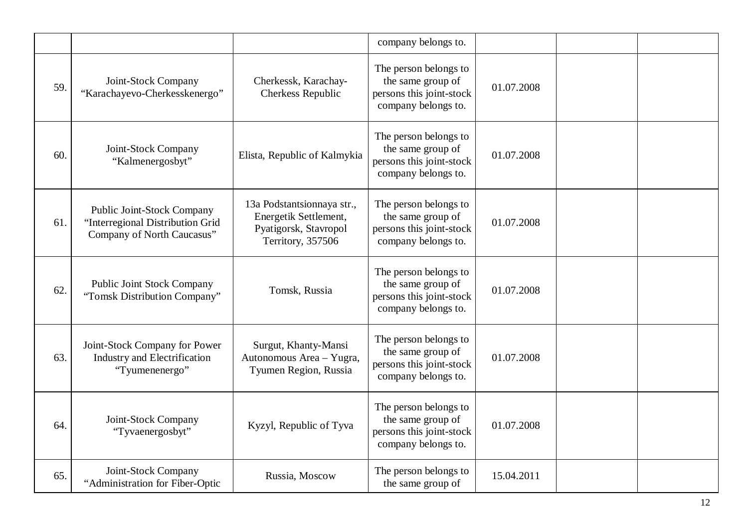|     |                                                                                              |                                                                                                   | company belongs to.                                                                           |            |  |
|-----|----------------------------------------------------------------------------------------------|---------------------------------------------------------------------------------------------------|-----------------------------------------------------------------------------------------------|------------|--|
| 59. | Joint-Stock Company<br>"Karachayevo-Cherkesskenergo"                                         | Cherkessk, Karachay-<br>Cherkess Republic                                                         | The person belongs to<br>the same group of<br>persons this joint-stock<br>company belongs to. | 01.07.2008 |  |
| 60. | Joint-Stock Company<br>"Kalmenergosbyt"                                                      | Elista, Republic of Kalmykia                                                                      | The person belongs to<br>the same group of<br>persons this joint-stock<br>company belongs to. | 01.07.2008 |  |
| 61. | Public Joint-Stock Company<br>"Interregional Distribution Grid<br>Company of North Caucasus" | 13a Podstantsionnaya str.,<br>Energetik Settlement,<br>Pyatigorsk, Stavropol<br>Territory, 357506 | The person belongs to<br>the same group of<br>persons this joint-stock<br>company belongs to. | 01.07.2008 |  |
| 62. | <b>Public Joint Stock Company</b><br>"Tomsk Distribution Company"                            | Tomsk, Russia                                                                                     | The person belongs to<br>the same group of<br>persons this joint-stock<br>company belongs to. | 01.07.2008 |  |
| 63. | Joint-Stock Company for Power<br><b>Industry and Electrification</b><br>"Tyumenenergo"       | Surgut, Khanty-Mansi<br>Autonomous Area - Yugra,<br>Tyumen Region, Russia                         | The person belongs to<br>the same group of<br>persons this joint-stock<br>company belongs to. | 01.07.2008 |  |
| 64. | Joint-Stock Company<br>"Tyvaenergosbyt"                                                      | Kyzyl, Republic of Tyva                                                                           | The person belongs to<br>the same group of<br>persons this joint-stock<br>company belongs to. | 01.07.2008 |  |
| 65. | Joint-Stock Company<br>"Administration for Fiber-Optic                                       | Russia, Moscow                                                                                    | The person belongs to<br>the same group of                                                    | 15.04.2011 |  |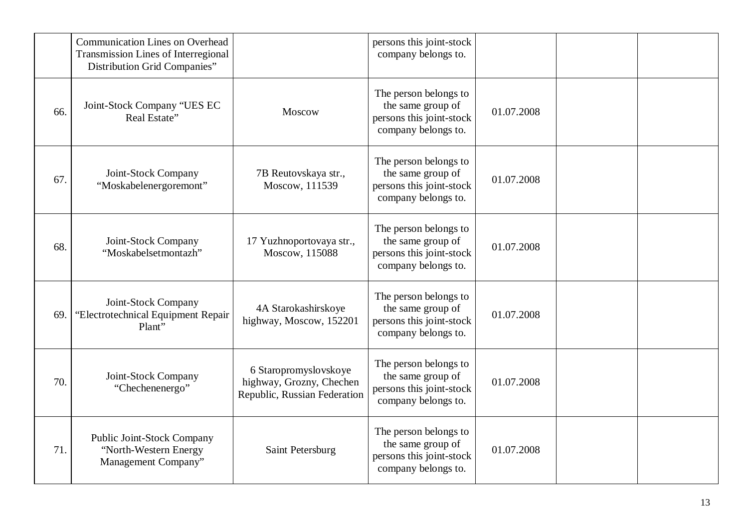|     | <b>Communication Lines on Overhead</b><br><b>Transmission Lines of Interregional</b><br><b>Distribution Grid Companies"</b> |                                                                                   | persons this joint-stock<br>company belongs to.                                               |            |  |
|-----|-----------------------------------------------------------------------------------------------------------------------------|-----------------------------------------------------------------------------------|-----------------------------------------------------------------------------------------------|------------|--|
| 66. | Joint-Stock Company "UES EC<br>Real Estate"                                                                                 | Moscow                                                                            | The person belongs to<br>the same group of<br>persons this joint-stock<br>company belongs to. | 01.07.2008 |  |
| 67. | Joint-Stock Company<br>"Moskabelenergoremont"                                                                               | 7B Reutovskaya str.,<br>Moscow, 111539                                            | The person belongs to<br>the same group of<br>persons this joint-stock<br>company belongs to. | 01.07.2008 |  |
| 68. | Joint-Stock Company<br>"Moskabelsetmontazh"                                                                                 | 17 Yuzhnoportovaya str.,<br>Moscow, 115088                                        | The person belongs to<br>the same group of<br>persons this joint-stock<br>company belongs to. | 01.07.2008 |  |
| 69. | Joint-Stock Company<br>"Electrotechnical Equipment Repair<br>Plant"                                                         | 4A Starokashirskoye<br>highway, Moscow, 152201                                    | The person belongs to<br>the same group of<br>persons this joint-stock<br>company belongs to. | 01.07.2008 |  |
| 70. | Joint-Stock Company<br>"Chechenenergo"                                                                                      | 6 Staropromyslovskoye<br>highway, Grozny, Chechen<br>Republic, Russian Federation | The person belongs to<br>the same group of<br>persons this joint-stock<br>company belongs to. | 01.07.2008 |  |
| 71. | Public Joint-Stock Company<br>"North-Western Energy<br>Management Company"                                                  | Saint Petersburg                                                                  | The person belongs to<br>the same group of<br>persons this joint-stock<br>company belongs to. | 01.07.2008 |  |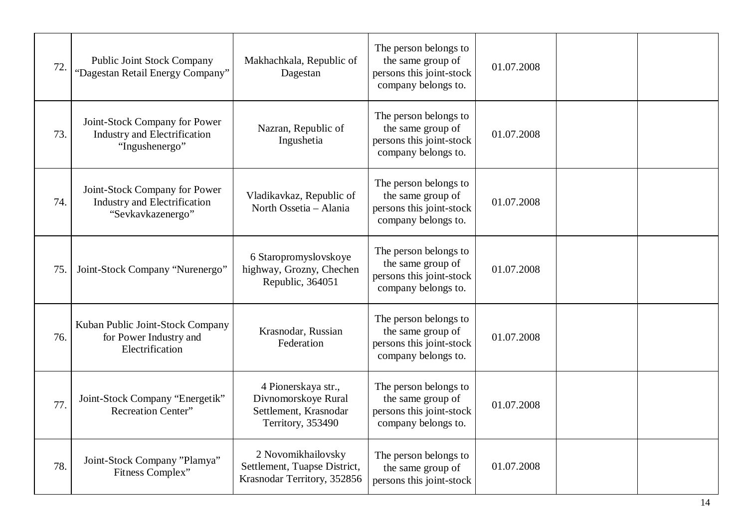| 72. | <b>Public Joint Stock Company</b><br>"Dagestan Retail Energy Company"                  | Makhachkala, Republic of<br>Dagestan                                                     | The person belongs to<br>the same group of<br>persons this joint-stock<br>company belongs to. | 01.07.2008 |  |
|-----|----------------------------------------------------------------------------------------|------------------------------------------------------------------------------------------|-----------------------------------------------------------------------------------------------|------------|--|
| 73. | Joint-Stock Company for Power<br><b>Industry and Electrification</b><br>"Ingushenergo" | Nazran, Republic of<br>Ingushetia                                                        | The person belongs to<br>the same group of<br>persons this joint-stock<br>company belongs to. | 01.07.2008 |  |
| 74. | Joint-Stock Company for Power<br>Industry and Electrification<br>"Sevkavkazenergo"     | Vladikavkaz, Republic of<br>North Ossetia - Alania                                       | The person belongs to<br>the same group of<br>persons this joint-stock<br>company belongs to. | 01.07.2008 |  |
| 75. | Joint-Stock Company "Nurenergo"                                                        | 6 Staropromyslovskoye<br>highway, Grozny, Chechen<br>Republic, 364051                    | The person belongs to<br>the same group of<br>persons this joint-stock<br>company belongs to. | 01.07.2008 |  |
| 76. | Kuban Public Joint-Stock Company<br>for Power Industry and<br>Electrification          | Krasnodar, Russian<br>Federation                                                         | The person belongs to<br>the same group of<br>persons this joint-stock<br>company belongs to. | 01.07.2008 |  |
| 77. | Joint-Stock Company "Energetik"<br><b>Recreation Center"</b>                           | 4 Pionerskaya str.,<br>Divnomorskoye Rural<br>Settlement, Krasnodar<br>Territory, 353490 | The person belongs to<br>the same group of<br>persons this joint-stock<br>company belongs to. | 01.07.2008 |  |
| 78. | Joint-Stock Company "Plamya"<br>Fitness Complex"                                       | 2 Novomikhailovsky<br>Settlement, Tuapse District,<br>Krasnodar Territory, 352856        | The person belongs to<br>the same group of<br>persons this joint-stock                        | 01.07.2008 |  |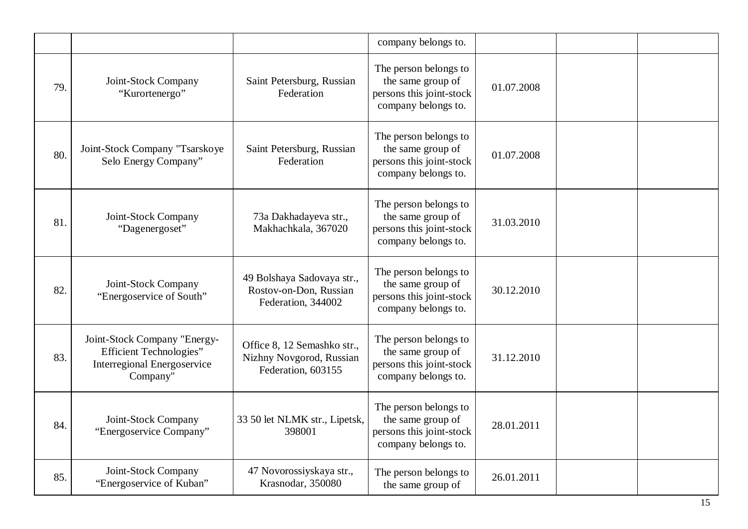|     |                                                                                                                  |                                                                               | company belongs to.                                                                           |            |  |
|-----|------------------------------------------------------------------------------------------------------------------|-------------------------------------------------------------------------------|-----------------------------------------------------------------------------------------------|------------|--|
| 79. | Joint-Stock Company<br>"Kurortenergo"                                                                            | Saint Petersburg, Russian<br>Federation                                       | The person belongs to<br>the same group of<br>persons this joint-stock<br>company belongs to. | 01.07.2008 |  |
| 80. | Joint-Stock Company "Tsarskoye<br>Selo Energy Company"                                                           | Saint Petersburg, Russian<br>Federation                                       | The person belongs to<br>the same group of<br>persons this joint-stock<br>company belongs to. | 01.07.2008 |  |
| 81. | Joint-Stock Company<br>"Dagenergoset"                                                                            | 73a Dakhadayeva str.,<br>Makhachkala, 367020                                  | The person belongs to<br>the same group of<br>persons this joint-stock<br>company belongs to. | 31.03.2010 |  |
| 82. | Joint-Stock Company<br>"Energoservice of South"                                                                  | 49 Bolshaya Sadovaya str.,<br>Rostov-on-Don, Russian<br>Federation, 344002    | The person belongs to<br>the same group of<br>persons this joint-stock<br>company belongs to. | 30.12.2010 |  |
| 83. | Joint-Stock Company "Energy-<br><b>Efficient Technologies"</b><br><b>Interregional Energoservice</b><br>Company" | Office 8, 12 Semashko str.,<br>Nizhny Novgorod, Russian<br>Federation, 603155 | The person belongs to<br>the same group of<br>persons this joint-stock<br>company belongs to. | 31.12.2010 |  |
| 84. | Joint-Stock Company<br>"Energoservice Company"                                                                   | 33 50 let NLMK str., Lipetsk,<br>398001                                       | The person belongs to<br>the same group of<br>persons this joint-stock<br>company belongs to. | 28.01.2011 |  |
| 85. | Joint-Stock Company<br>"Energoservice of Kuban"                                                                  | 47 Novorossiyskaya str.,<br>Krasnodar, 350080                                 | The person belongs to<br>the same group of                                                    | 26.01.2011 |  |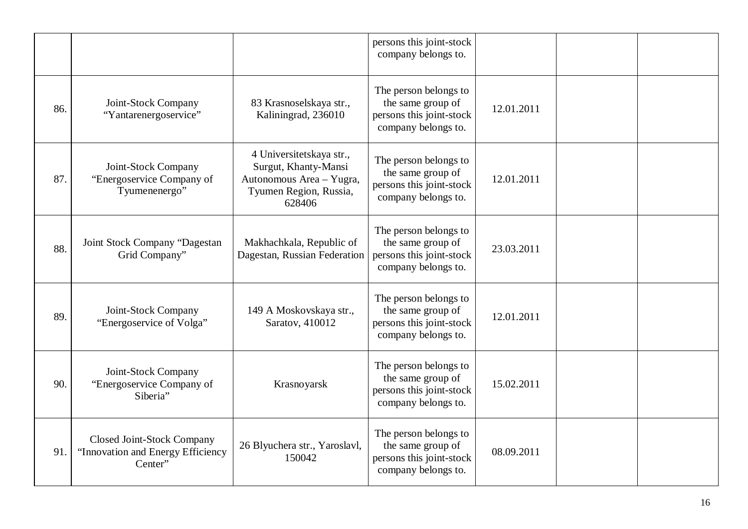|     |                                                                                   |                                                                                                                  | persons this joint-stock<br>company belongs to.                                               |            |  |
|-----|-----------------------------------------------------------------------------------|------------------------------------------------------------------------------------------------------------------|-----------------------------------------------------------------------------------------------|------------|--|
| 86. | Joint-Stock Company<br>"Yantarenergoservice"                                      | 83 Krasnoselskaya str.,<br>Kaliningrad, 236010                                                                   | The person belongs to<br>the same group of<br>persons this joint-stock<br>company belongs to. | 12.01.2011 |  |
| 87. | Joint-Stock Company<br>"Energoservice Company of<br>Tyumenenergo"                 | 4 Universitetskaya str.,<br>Surgut, Khanty-Mansi<br>Autonomous Area - Yugra,<br>Tyumen Region, Russia,<br>628406 | The person belongs to<br>the same group of<br>persons this joint-stock<br>company belongs to. | 12.01.2011 |  |
| 88. | Joint Stock Company "Dagestan<br>Grid Company"                                    | Makhachkala, Republic of<br>Dagestan, Russian Federation                                                         | The person belongs to<br>the same group of<br>persons this joint-stock<br>company belongs to. | 23.03.2011 |  |
| 89. | Joint-Stock Company<br>"Energoservice of Volga"                                   | 149 A Moskovskaya str.,<br>Saratov, 410012                                                                       | The person belongs to<br>the same group of<br>persons this joint-stock<br>company belongs to. | 12.01.2011 |  |
| 90. | Joint-Stock Company<br>"Energoservice Company of<br>Siberia"                      | Krasnoyarsk                                                                                                      | The person belongs to<br>the same group of<br>persons this joint-stock<br>company belongs to. | 15.02.2011 |  |
| 91. | <b>Closed Joint-Stock Company</b><br>"Innovation and Energy Efficiency<br>Center" | 26 Blyuchera str., Yaroslavl,<br>150042                                                                          | The person belongs to<br>the same group of<br>persons this joint-stock<br>company belongs to. | 08.09.2011 |  |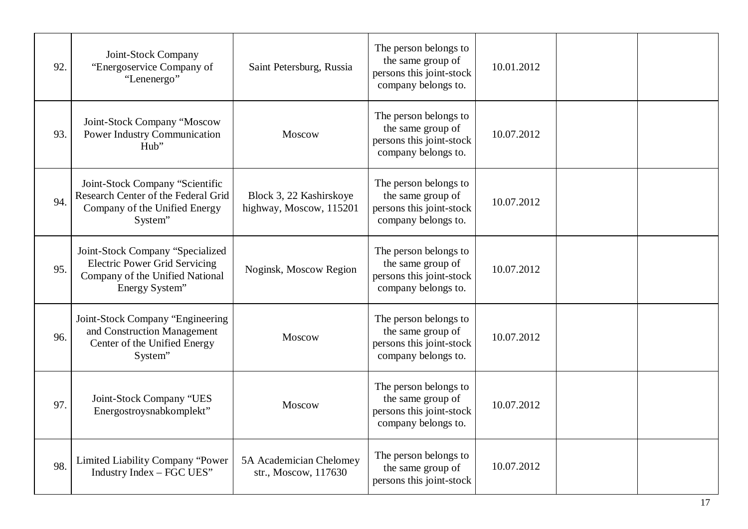| 92. | Joint-Stock Company<br>"Energoservice Company of<br>"Lenenergo"                                                               | Saint Petersburg, Russia                           | The person belongs to<br>the same group of<br>persons this joint-stock<br>company belongs to. | 10.01.2012 |  |
|-----|-------------------------------------------------------------------------------------------------------------------------------|----------------------------------------------------|-----------------------------------------------------------------------------------------------|------------|--|
| 93. | Joint-Stock Company "Moscow<br><b>Power Industry Communication</b><br>Hub"                                                    | Moscow                                             | The person belongs to<br>the same group of<br>persons this joint-stock<br>company belongs to. | 10.07.2012 |  |
| 94. | Joint-Stock Company "Scientific<br>Research Center of the Federal Grid<br>Company of the Unified Energy<br>System"            | Block 3, 22 Kashirskoye<br>highway, Moscow, 115201 | The person belongs to<br>the same group of<br>persons this joint-stock<br>company belongs to. | 10.07.2012 |  |
| 95. | Joint-Stock Company "Specialized<br><b>Electric Power Grid Servicing</b><br>Company of the Unified National<br>Energy System" | Noginsk, Moscow Region                             | The person belongs to<br>the same group of<br>persons this joint-stock<br>company belongs to. | 10.07.2012 |  |
| 96. | Joint-Stock Company "Engineering<br>and Construction Management<br>Center of the Unified Energy<br>System"                    | Moscow                                             | The person belongs to<br>the same group of<br>persons this joint-stock<br>company belongs to. | 10.07.2012 |  |
| 97  | Joint-Stock Company "UES<br>Energostroysnabkomplekt"                                                                          | Moscow                                             | The person belongs to<br>the same group of<br>persons this joint-stock<br>company belongs to. | 10.07.2012 |  |
| 98. | Limited Liability Company "Power<br>Industry Index - FGC UES"                                                                 | 5A Academician Chelomey<br>str., Moscow, 117630    | The person belongs to<br>the same group of<br>persons this joint-stock                        | 10.07.2012 |  |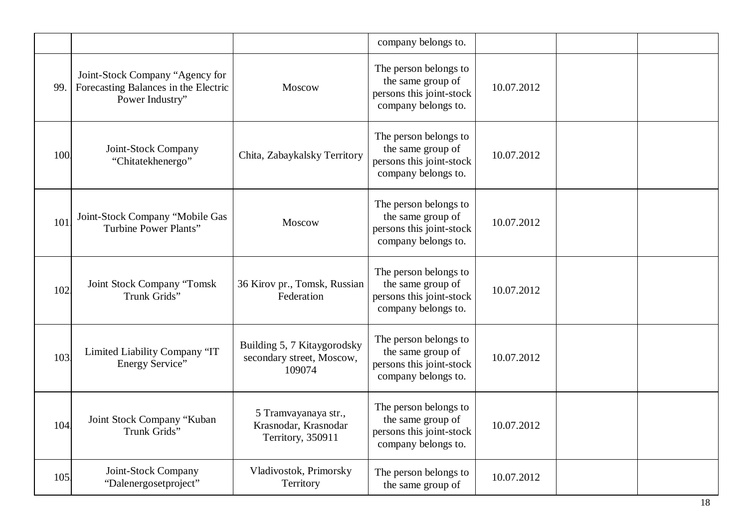|      |                                                                                            |                                                                    | company belongs to.                                                                           |            |  |
|------|--------------------------------------------------------------------------------------------|--------------------------------------------------------------------|-----------------------------------------------------------------------------------------------|------------|--|
| 99.  | Joint-Stock Company "Agency for<br>Forecasting Balances in the Electric<br>Power Industry" | Moscow                                                             | The person belongs to<br>the same group of<br>persons this joint-stock<br>company belongs to. | 10.07.2012 |  |
| 100  | Joint-Stock Company<br>"Chitatekhenergo"                                                   | Chita, Zabaykalsky Territory                                       | The person belongs to<br>the same group of<br>persons this joint-stock<br>company belongs to. | 10.07.2012 |  |
| 101  | Joint-Stock Company "Mobile Gas<br>Turbine Power Plants"                                   | Moscow                                                             | The person belongs to<br>the same group of<br>persons this joint-stock<br>company belongs to. | 10.07.2012 |  |
| 102  | Joint Stock Company "Tomsk<br>Trunk Grids"                                                 | 36 Kirov pr., Tomsk, Russian<br>Federation                         | The person belongs to<br>the same group of<br>persons this joint-stock<br>company belongs to. | 10.07.2012 |  |
| 103. | Limited Liability Company "IT<br>Energy Service"                                           | Building 5, 7 Kitaygorodsky<br>secondary street, Moscow,<br>109074 | The person belongs to<br>the same group of<br>persons this joint-stock<br>company belongs to. | 10.07.2012 |  |
| 104  | Joint Stock Company "Kuban<br>Trunk Grids"                                                 | 5 Tramvayanaya str.,<br>Krasnodar, Krasnodar<br>Territory, 350911  | The person belongs to<br>the same group of<br>persons this joint-stock<br>company belongs to. | 10.07.2012 |  |
| 105  | Joint-Stock Company<br>"Dalenergosetproject"                                               | Vladivostok, Primorsky<br>Territory                                | The person belongs to<br>the same group of                                                    | 10.07.2012 |  |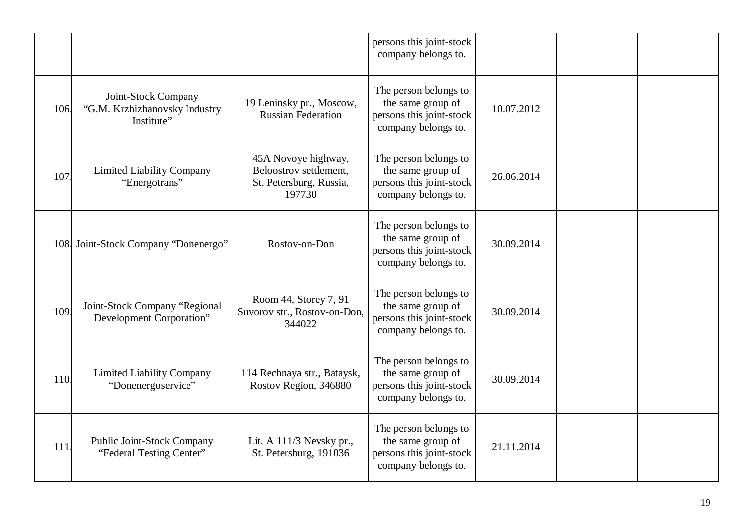|     |                                                                    |                                                                                    | persons this joint-stock<br>company belongs to.                                               |            |  |
|-----|--------------------------------------------------------------------|------------------------------------------------------------------------------------|-----------------------------------------------------------------------------------------------|------------|--|
| 106 | Joint-Stock Company<br>"G.M. Krzhizhanovsky Industry<br>Institute" | 19 Leninsky pr., Moscow,<br><b>Russian Federation</b>                              | The person belongs to<br>the same group of<br>persons this joint-stock<br>company belongs to. | 10.07.2012 |  |
| 107 | Limited Liability Company<br>"Energotrans"                         | 45A Novoye highway,<br>Beloostrov settlement,<br>St. Petersburg, Russia,<br>197730 | The person belongs to<br>the same group of<br>persons this joint-stock<br>company belongs to. | 26.06.2014 |  |
|     | 108 Joint-Stock Company "Donenergo"                                | Rostov-on-Don                                                                      | The person belongs to<br>the same group of<br>persons this joint-stock<br>company belongs to. | 30.09.2014 |  |
| 109 | Joint-Stock Company "Regional<br>Development Corporation"          | Room 44, Storey 7, 91<br>Suvorov str., Rostov-on-Don,<br>344022                    | The person belongs to<br>the same group of<br>persons this joint-stock<br>company belongs to. | 30.09.2014 |  |
| 110 | <b>Limited Liability Company</b><br>"Donenergoservice"             | 114 Rechnaya str., Bataysk,<br>Rostov Region, 346880                               | The person belongs to<br>the same group of<br>persons this joint-stock<br>company belongs to. | 30.09.2014 |  |
| 111 | Public Joint-Stock Company<br>"Federal Testing Center"             | Lit. A 111/3 Nevsky pr.,<br>St. Petersburg, 191036                                 | The person belongs to<br>the same group of<br>persons this joint-stock<br>company belongs to. | 21.11.2014 |  |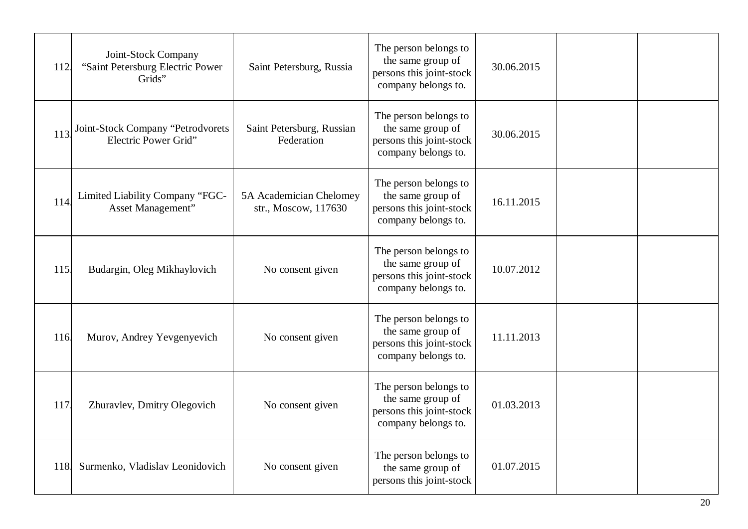| 112. | Joint-Stock Company<br>"Saint Petersburg Electric Power<br>Grids" | Saint Petersburg, Russia                        | The person belongs to<br>the same group of<br>persons this joint-stock<br>company belongs to. | 30.06.2015 |  |
|------|-------------------------------------------------------------------|-------------------------------------------------|-----------------------------------------------------------------------------------------------|------------|--|
| 113  | Joint-Stock Company "Petrodvorets<br>Electric Power Grid"         | Saint Petersburg, Russian<br>Federation         | The person belongs to<br>the same group of<br>persons this joint-stock<br>company belongs to. | 30.06.2015 |  |
| 114  | Limited Liability Company "FGC-<br>Asset Management"              | 5A Academician Chelomey<br>str., Moscow, 117630 | The person belongs to<br>the same group of<br>persons this joint-stock<br>company belongs to. | 16.11.2015 |  |
| 115. | Budargin, Oleg Mikhaylovich                                       | No consent given                                | The person belongs to<br>the same group of<br>persons this joint-stock<br>company belongs to. | 10.07.2012 |  |
| 116  | Murov, Andrey Yevgenyevich                                        | No consent given                                | The person belongs to<br>the same group of<br>persons this joint-stock<br>company belongs to. | 11.11.2013 |  |
| 117  | Zhuravlev, Dmitry Olegovich                                       | No consent given                                | The person belongs to<br>the same group of<br>persons this joint-stock<br>company belongs to. | 01.03.2013 |  |
| 118  | Surmenko, Vladislav Leonidovich                                   | No consent given                                | The person belongs to<br>the same group of<br>persons this joint-stock                        | 01.07.2015 |  |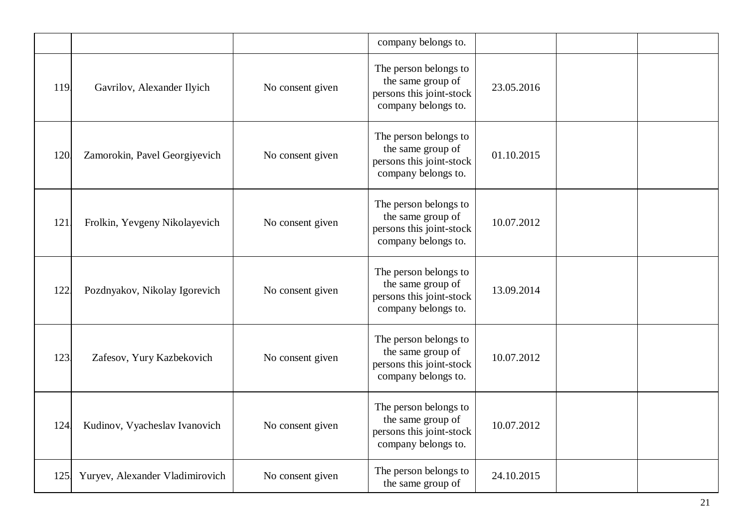|      |                                 |                  | company belongs to.                                                                           |            |  |
|------|---------------------------------|------------------|-----------------------------------------------------------------------------------------------|------------|--|
| 119. | Gavrilov, Alexander Ilyich      | No consent given | The person belongs to<br>the same group of<br>persons this joint-stock<br>company belongs to. | 23.05.2016 |  |
| 120  | Zamorokin, Pavel Georgiyevich   | No consent given | The person belongs to<br>the same group of<br>persons this joint-stock<br>company belongs to. | 01.10.2015 |  |
| 121  | Frolkin, Yevgeny Nikolayevich   | No consent given | The person belongs to<br>the same group of<br>persons this joint-stock<br>company belongs to. | 10.07.2012 |  |
| 122  | Pozdnyakov, Nikolay Igorevich   | No consent given | The person belongs to<br>the same group of<br>persons this joint-stock<br>company belongs to. | 13.09.2014 |  |
| 123  | Zafesov, Yury Kazbekovich       | No consent given | The person belongs to<br>the same group of<br>persons this joint-stock<br>company belongs to. | 10.07.2012 |  |
| 124  | Kudinov, Vyacheslav Ivanovich   | No consent given | The person belongs to<br>the same group of<br>persons this joint-stock<br>company belongs to. | 10.07.2012 |  |
| 125. | Yuryev, Alexander Vladimirovich | No consent given | The person belongs to<br>the same group of                                                    | 24.10.2015 |  |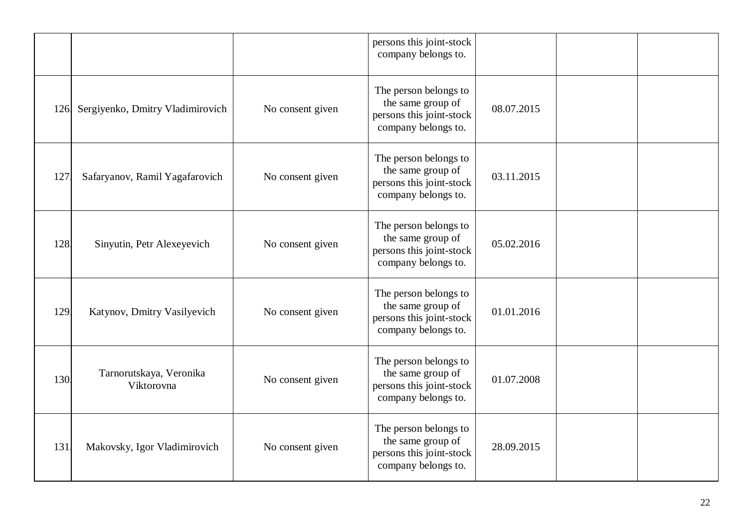|      |                                       |                  | persons this joint-stock<br>company belongs to.                                               |            |  |
|------|---------------------------------------|------------------|-----------------------------------------------------------------------------------------------|------------|--|
| 126. | Sergiyenko, Dmitry Vladimirovich      | No consent given | The person belongs to<br>the same group of<br>persons this joint-stock<br>company belongs to. | 08.07.2015 |  |
| 127  | Safaryanov, Ramil Yagafarovich        | No consent given | The person belongs to<br>the same group of<br>persons this joint-stock<br>company belongs to. | 03.11.2015 |  |
| 128. | Sinyutin, Petr Alexeyevich            | No consent given | The person belongs to<br>the same group of<br>persons this joint-stock<br>company belongs to. | 05.02.2016 |  |
| 129. | Katynov, Dmitry Vasilyevich           | No consent given | The person belongs to<br>the same group of<br>persons this joint-stock<br>company belongs to. | 01.01.2016 |  |
| 130  | Tarnorutskaya, Veronika<br>Viktorovna | No consent given | The person belongs to<br>the same group of<br>persons this joint-stock<br>company belongs to. | 01.07.2008 |  |
| 131  | Makovsky, Igor Vladimirovich          | No consent given | The person belongs to<br>the same group of<br>persons this joint-stock<br>company belongs to. | 28.09.2015 |  |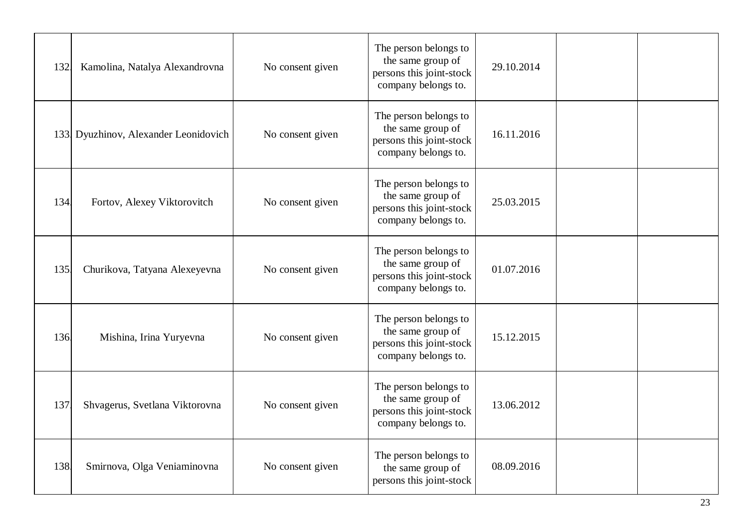| 132. | Kamolina, Natalya Alexandrovna       | No consent given | The person belongs to<br>the same group of<br>persons this joint-stock<br>company belongs to. | 29.10.2014 |  |
|------|--------------------------------------|------------------|-----------------------------------------------------------------------------------------------|------------|--|
|      | 133 Dyuzhinov, Alexander Leonidovich | No consent given | The person belongs to<br>the same group of<br>persons this joint-stock<br>company belongs to. | 16.11.2016 |  |
| 134. | Fortov, Alexey Viktorovitch          | No consent given | The person belongs to<br>the same group of<br>persons this joint-stock<br>company belongs to. | 25.03.2015 |  |
| 135. | Churikova, Tatyana Alexeyevna        | No consent given | The person belongs to<br>the same group of<br>persons this joint-stock<br>company belongs to. | 01.07.2016 |  |
| 136. | Mishina, Irina Yuryevna              | No consent given | The person belongs to<br>the same group of<br>persons this joint-stock<br>company belongs to. | 15.12.2015 |  |
| 137  | Shvagerus, Svetlana Viktorovna       | No consent given | The person belongs to<br>the same group of<br>persons this joint-stock<br>company belongs to. | 13.06.2012 |  |
| 138. | Smirnova, Olga Veniaminovna          | No consent given | The person belongs to<br>the same group of<br>persons this joint-stock                        | 08.09.2016 |  |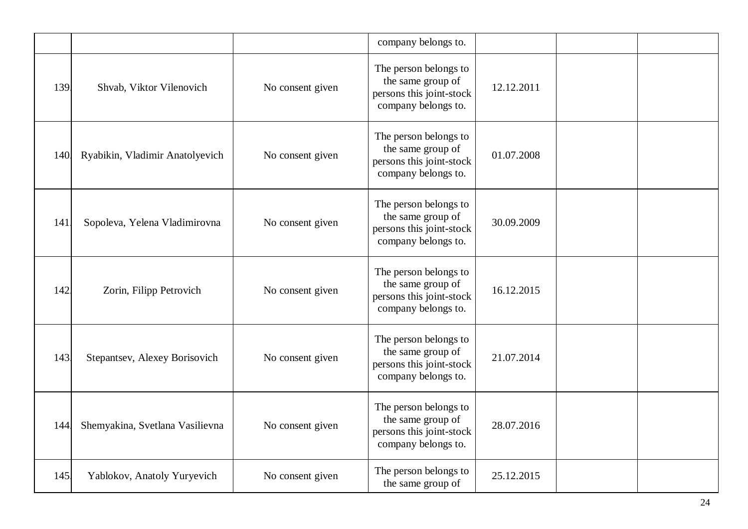|      |                                 |                  | company belongs to.                                                                           |            |  |
|------|---------------------------------|------------------|-----------------------------------------------------------------------------------------------|------------|--|
| 139. | Shvab, Viktor Vilenovich        | No consent given | The person belongs to<br>the same group of<br>persons this joint-stock<br>company belongs to. | 12.12.2011 |  |
| 140. | Ryabikin, Vladimir Anatolyevich | No consent given | The person belongs to<br>the same group of<br>persons this joint-stock<br>company belongs to. | 01.07.2008 |  |
| 141  | Sopoleva, Yelena Vladimirovna   | No consent given | The person belongs to<br>the same group of<br>persons this joint-stock<br>company belongs to. | 30.09.2009 |  |
| 142  | Zorin, Filipp Petrovich         | No consent given | The person belongs to<br>the same group of<br>persons this joint-stock<br>company belongs to. | 16.12.2015 |  |
| 143  | Stepantsev, Alexey Borisovich   | No consent given | The person belongs to<br>the same group of<br>persons this joint-stock<br>company belongs to. | 21.07.2014 |  |
| 144  | Shemyakina, Svetlana Vasilievna | No consent given | The person belongs to<br>the same group of<br>persons this joint-stock<br>company belongs to. | 28.07.2016 |  |
| 145  | Yablokov, Anatoly Yuryevich     | No consent given | The person belongs to<br>the same group of                                                    | 25.12.2015 |  |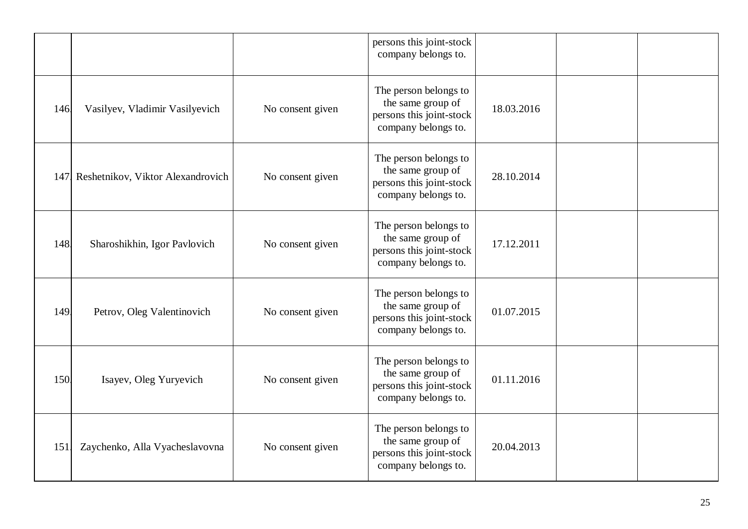|      |                                   |                  | persons this joint-stock<br>company belongs to.                                               |            |  |
|------|-----------------------------------|------------------|-----------------------------------------------------------------------------------------------|------------|--|
| 146  | Vasilyev, Vladimir Vasilyevich    | No consent given | The person belongs to<br>the same group of<br>persons this joint-stock<br>company belongs to. | 18.03.2016 |  |
| 147. | Reshetnikov, Viktor Alexandrovich | No consent given | The person belongs to<br>the same group of<br>persons this joint-stock<br>company belongs to. | 28.10.2014 |  |
| 148. | Sharoshikhin, Igor Pavlovich      | No consent given | The person belongs to<br>the same group of<br>persons this joint-stock<br>company belongs to. | 17.12.2011 |  |
| 149. | Petrov, Oleg Valentinovich        | No consent given | The person belongs to<br>the same group of<br>persons this joint-stock<br>company belongs to. | 01.07.2015 |  |
| 150  | Isayev, Oleg Yuryevich            | No consent given | The person belongs to<br>the same group of<br>persons this joint-stock<br>company belongs to. | 01.11.2016 |  |
| 151  | Zaychenko, Alla Vyacheslavovna    | No consent given | The person belongs to<br>the same group of<br>persons this joint-stock<br>company belongs to. | 20.04.2013 |  |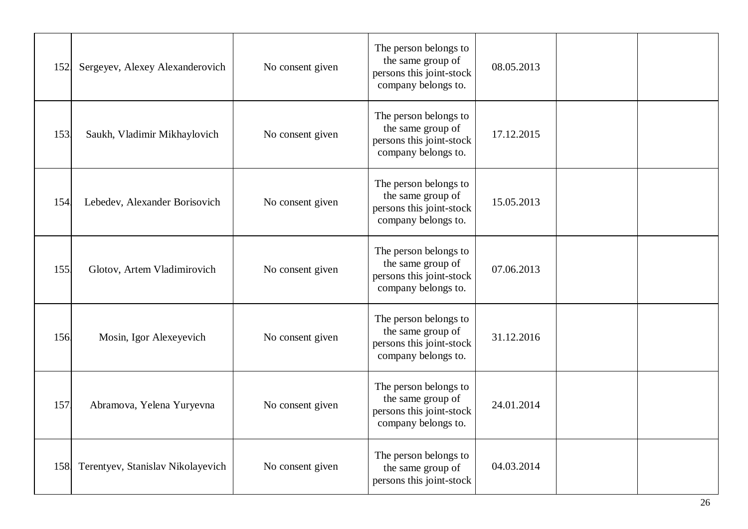| 152  | Sergeyev, Alexey Alexanderovich       | No consent given | The person belongs to<br>the same group of<br>persons this joint-stock<br>company belongs to. | 08.05.2013 |  |
|------|---------------------------------------|------------------|-----------------------------------------------------------------------------------------------|------------|--|
| 153. | Saukh, Vladimir Mikhaylovich          | No consent given | The person belongs to<br>the same group of<br>persons this joint-stock<br>company belongs to. | 17.12.2015 |  |
| 154  | Lebedev, Alexander Borisovich         | No consent given | The person belongs to<br>the same group of<br>persons this joint-stock<br>company belongs to. | 15.05.2013 |  |
| 155. | Glotov, Artem Vladimirovich           | No consent given | The person belongs to<br>the same group of<br>persons this joint-stock<br>company belongs to. | 07.06.2013 |  |
| 156. | Mosin, Igor Alexeyevich               | No consent given | The person belongs to<br>the same group of<br>persons this joint-stock<br>company belongs to. | 31.12.2016 |  |
| 157  | Abramova, Yelena Yuryevna             | No consent given | The person belongs to<br>the same group of<br>persons this joint-stock<br>company belongs to. | 24.01.2014 |  |
|      | 158 Terentyev, Stanislav Nikolayevich | No consent given | The person belongs to<br>the same group of<br>persons this joint-stock                        | 04.03.2014 |  |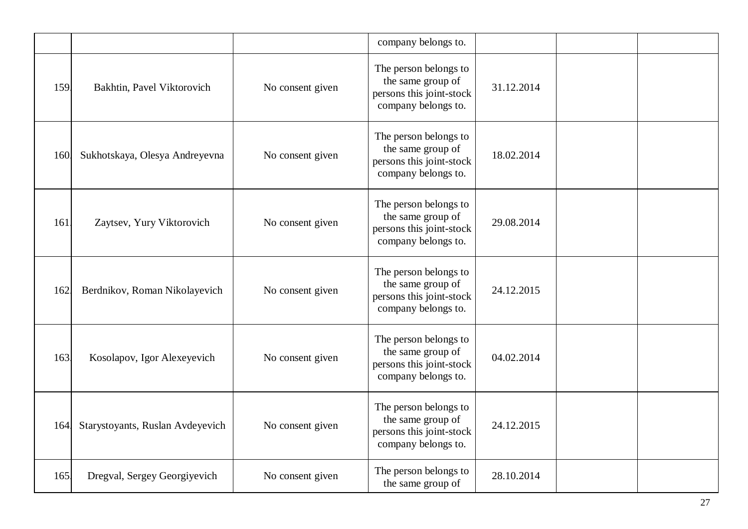|      |                                  |                  | company belongs to.                                                                           |            |  |
|------|----------------------------------|------------------|-----------------------------------------------------------------------------------------------|------------|--|
| 159. | Bakhtin, Pavel Viktorovich       | No consent given | The person belongs to<br>the same group of<br>persons this joint-stock<br>company belongs to. | 31.12.2014 |  |
| 160. | Sukhotskaya, Olesya Andreyevna   | No consent given | The person belongs to<br>the same group of<br>persons this joint-stock<br>company belongs to. | 18.02.2014 |  |
| 161  | Zaytsev, Yury Viktorovich        | No consent given | The person belongs to<br>the same group of<br>persons this joint-stock<br>company belongs to. | 29.08.2014 |  |
| 162  | Berdnikov, Roman Nikolayevich    | No consent given | The person belongs to<br>the same group of<br>persons this joint-stock<br>company belongs to. | 24.12.2015 |  |
| 163  | Kosolapov, Igor Alexeyevich      | No consent given | The person belongs to<br>the same group of<br>persons this joint-stock<br>company belongs to. | 04.02.2014 |  |
| 164  | Starystoyants, Ruslan Avdeyevich | No consent given | The person belongs to<br>the same group of<br>persons this joint-stock<br>company belongs to. | 24.12.2015 |  |
| 165. | Dregval, Sergey Georgiyevich     | No consent given | The person belongs to<br>the same group of                                                    | 28.10.2014 |  |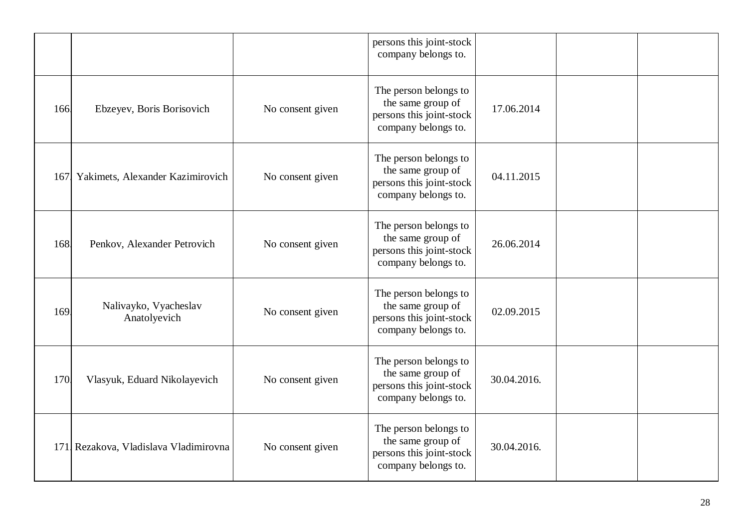|      |                                       |                  | persons this joint-stock<br>company belongs to.                                               |             |  |
|------|---------------------------------------|------------------|-----------------------------------------------------------------------------------------------|-------------|--|
| 166  | Ebzeyev, Boris Borisovich             | No consent given | The person belongs to<br>the same group of<br>persons this joint-stock<br>company belongs to. | 17.06.2014  |  |
| 167. | Yakimets, Alexander Kazimirovich      | No consent given | The person belongs to<br>the same group of<br>persons this joint-stock<br>company belongs to. | 04.11.2015  |  |
| 168  | Penkov, Alexander Petrovich           | No consent given | The person belongs to<br>the same group of<br>persons this joint-stock<br>company belongs to. | 26.06.2014  |  |
| 169  | Nalivayko, Vyacheslav<br>Anatolyevich | No consent given | The person belongs to<br>the same group of<br>persons this joint-stock<br>company belongs to. | 02.09.2015  |  |
| 170  | Vlasyuk, Eduard Nikolayevich          | No consent given | The person belongs to<br>the same group of<br>persons this joint-stock<br>company belongs to. | 30.04.2016. |  |
|      | 171 Rezakova, Vladislava Vladimirovna | No consent given | The person belongs to<br>the same group of<br>persons this joint-stock<br>company belongs to. | 30.04.2016. |  |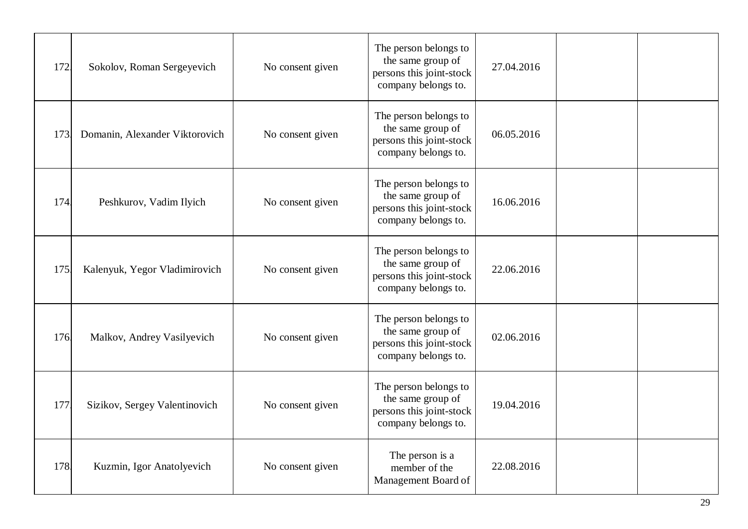| 172. | Sokolov, Roman Sergeyevich     | No consent given | The person belongs to<br>the same group of<br>persons this joint-stock<br>company belongs to. | 27.04.2016 |  |
|------|--------------------------------|------------------|-----------------------------------------------------------------------------------------------|------------|--|
| 173. | Domanin, Alexander Viktorovich | No consent given | The person belongs to<br>the same group of<br>persons this joint-stock<br>company belongs to. | 06.05.2016 |  |
| 174  | Peshkurov, Vadim Ilyich        | No consent given | The person belongs to<br>the same group of<br>persons this joint-stock<br>company belongs to. | 16.06.2016 |  |
| 175  | Kalenyuk, Yegor Vladimirovich  | No consent given | The person belongs to<br>the same group of<br>persons this joint-stock<br>company belongs to. | 22.06.2016 |  |
| 176. | Malkov, Andrey Vasilyevich     | No consent given | The person belongs to<br>the same group of<br>persons this joint-stock<br>company belongs to. | 02.06.2016 |  |
| 177  | Sizikov, Sergey Valentinovich  | No consent given | The person belongs to<br>the same group of<br>persons this joint-stock<br>company belongs to. | 19.04.2016 |  |
| 178. | Kuzmin, Igor Anatolyevich      | No consent given | The person is a<br>member of the<br>Management Board of                                       | 22.08.2016 |  |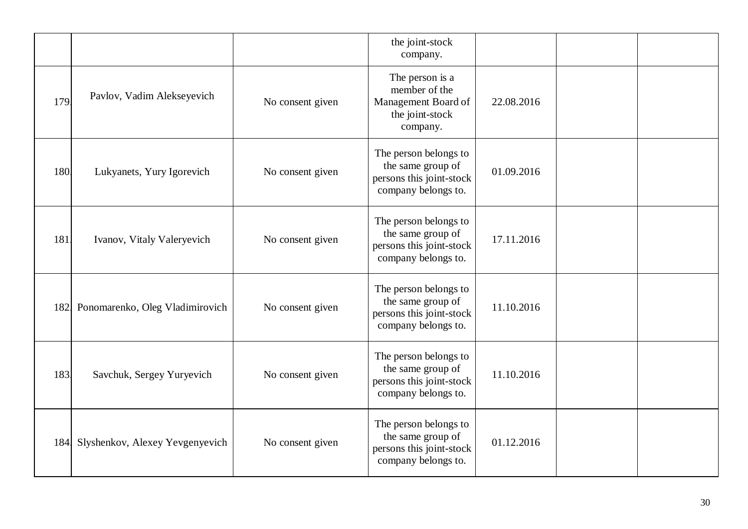|            |                                 |                  | the joint-stock<br>company.                                                                   |            |  |
|------------|---------------------------------|------------------|-----------------------------------------------------------------------------------------------|------------|--|
| 179        | Pavlov, Vadim Alekseyevich      | No consent given | The person is a<br>member of the<br>Management Board of<br>the joint-stock<br>company.        | 22.08.2016 |  |
| <b>180</b> | Lukyanets, Yury Igorevich       | No consent given | The person belongs to<br>the same group of<br>persons this joint-stock<br>company belongs to. | 01.09.2016 |  |
| 181        | Ivanov, Vitaly Valeryevich      | No consent given | The person belongs to<br>the same group of<br>persons this joint-stock<br>company belongs to. | 17.11.2016 |  |
| 182        | Ponomarenko, Oleg Vladimirovich | No consent given | The person belongs to<br>the same group of<br>persons this joint-stock<br>company belongs to. | 11.10.2016 |  |
| 183        | Savchuk, Sergey Yuryevich       | No consent given | The person belongs to<br>the same group of<br>persons this joint-stock<br>company belongs to. | 11.10.2016 |  |
| 184.       | Slyshenkov, Alexey Yevgenyevich | No consent given | The person belongs to<br>the same group of<br>persons this joint-stock<br>company belongs to. | 01.12.2016 |  |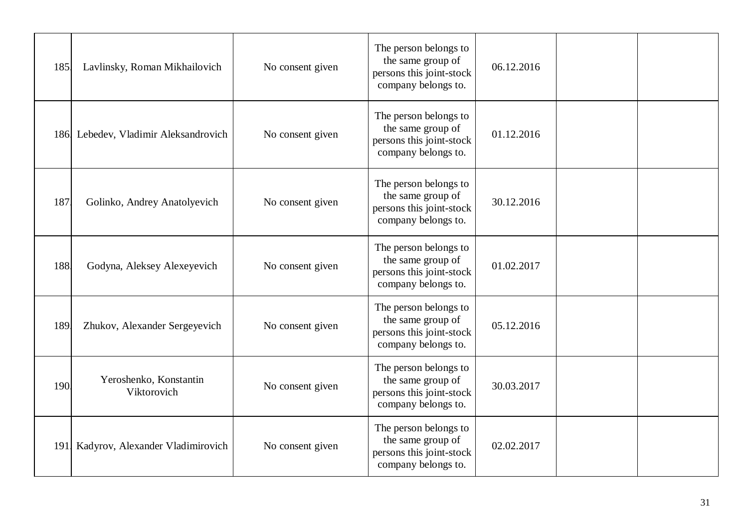| 185. | Lavlinsky, Roman Mikhailovich         | No consent given | The person belongs to<br>the same group of<br>persons this joint-stock<br>company belongs to. | 06.12.2016 |  |
|------|---------------------------------------|------------------|-----------------------------------------------------------------------------------------------|------------|--|
|      | 186 Lebedev, Vladimir Aleksandrovich  | No consent given | The person belongs to<br>the same group of<br>persons this joint-stock<br>company belongs to. | 01.12.2016 |  |
| 187  | Golinko, Andrey Anatolyevich          | No consent given | The person belongs to<br>the same group of<br>persons this joint-stock<br>company belongs to. | 30.12.2016 |  |
| 188  | Godyna, Aleksey Alexeyevich           | No consent given | The person belongs to<br>the same group of<br>persons this joint-stock<br>company belongs to. | 01.02.2017 |  |
| 189  | Zhukov, Alexander Sergeyevich         | No consent given | The person belongs to<br>the same group of<br>persons this joint-stock<br>company belongs to. | 05.12.2016 |  |
| 190  | Yeroshenko, Konstantin<br>Viktorovich | No consent given | The person belongs to<br>the same group of<br>persons this joint-stock<br>company belongs to. | 30.03.2017 |  |
|      | 191 Kadyrov, Alexander Vladimirovich  | No consent given | The person belongs to<br>the same group of<br>persons this joint-stock<br>company belongs to. | 02.02.2017 |  |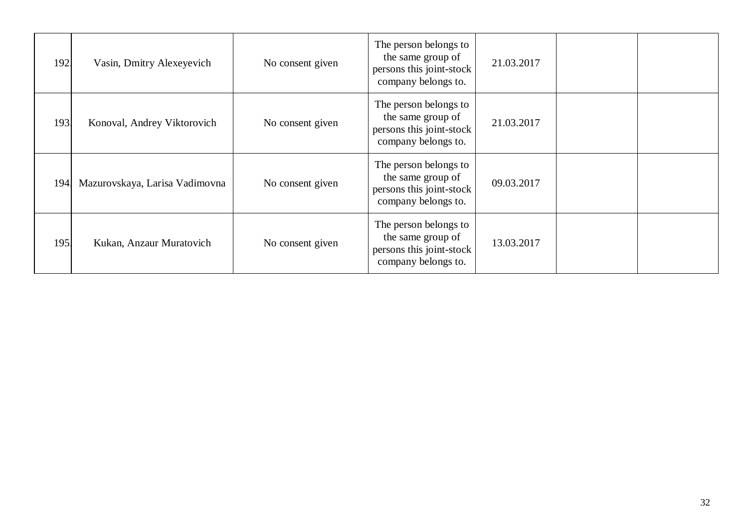| 192.       | Vasin, Dmitry Alexeyevich      | No consent given | The person belongs to<br>the same group of<br>persons this joint-stock<br>company belongs to. | 21.03.2017 |  |
|------------|--------------------------------|------------------|-----------------------------------------------------------------------------------------------|------------|--|
| 193        | Konoval, Andrey Viktorovich    | No consent given | The person belongs to<br>the same group of<br>persons this joint-stock<br>company belongs to. | 21.03.2017 |  |
| 194.       | Mazurovskaya, Larisa Vadimovna | No consent given | The person belongs to<br>the same group of<br>persons this joint-stock<br>company belongs to. | 09.03.2017 |  |
| <b>195</b> | Kukan, Anzaur Muratovich       | No consent given | The person belongs to<br>the same group of<br>persons this joint-stock<br>company belongs to. | 13.03.2017 |  |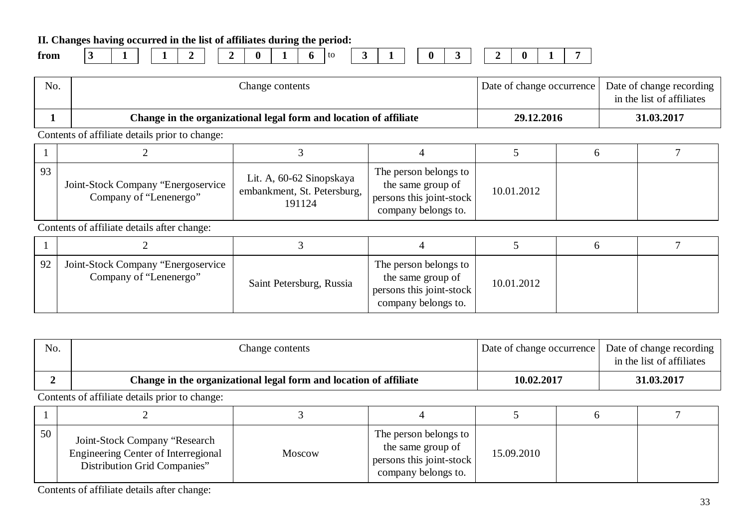**II. Changes having occurred in the list of affiliates during the period:**

| trom |  |
|------|--|
|      |  |

**from 3 1 1 2 2 0 1 6** to **3 1 0 3 2 0 1 7**

No. No. Change contents Change contents and Date of change occurrence Date of change recording in the list of affiliates **1 Change in the organizational legal form and location of affiliate 29.12.2016 31.03.2017** Contents of affiliate details prior to change:  $1 \t 2 \t 3 \t 4 \t 5 \t 6 \t 7$ 93 Joint-Stock Company "Energoservice Company of "Lenenergo" Lit. A, 60-62 Sinopskaya embankment, St. Petersburg, 191124 The person belongs to the same group of persons this joint-stock company belongs to. 10.01.2012 Contents of affiliate details after change:  $1 \t 2 \t 3 \t 4 \t 5 \t 6 \t 7$ 92 Joint-Stock Company "Energoservice<br>Company of "Lenenergo" Saint Petersburg, Russia The person belongs to the same group of persons this joint-stock company belongs to. 10.01.2012

| No. | Change contents                                                   | Date of change occurrence | Date of change recording<br>in the list of affiliates |
|-----|-------------------------------------------------------------------|---------------------------|-------------------------------------------------------|
|     | Change in the organizational legal form and location of affiliate | 10.02.2017                | 31.03.2017                                            |

Contents of affiliate details prior to change:

| 50 | Joint-Stock Company "Research<br><b>Engineering Center of Interregional</b><br>Distribution Grid Companies" | <b>Moscow</b> | The person belongs to<br>the same group of<br>persons this joint-stock<br>company belongs to. | 15.09.2010 |  |
|----|-------------------------------------------------------------------------------------------------------------|---------------|-----------------------------------------------------------------------------------------------|------------|--|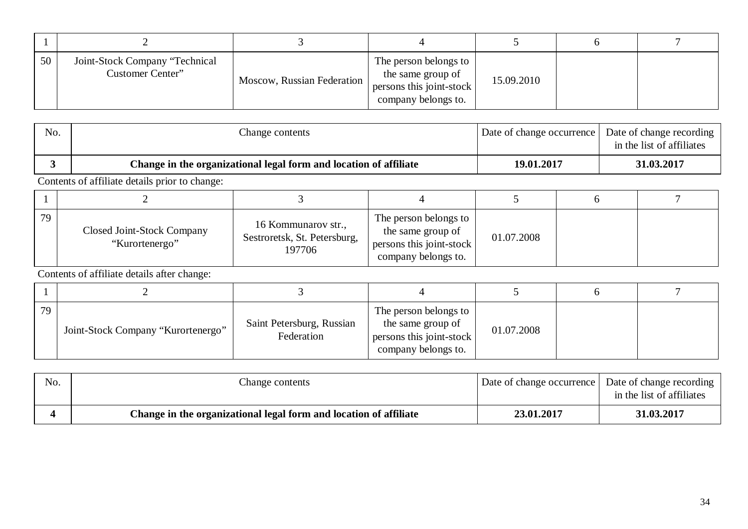| 50 | Joint-Stock Company "Technical<br>Customer Center" | Moscow, Russian Federation | The person belongs to<br>the same group of<br>persons this joint-stock<br>company belongs to. | 15.09.2010 |  |
|----|----------------------------------------------------|----------------------------|-----------------------------------------------------------------------------------------------|------------|--|

| No. | Change contents                                                   | Date of change occurrence | Date of change recording<br>in the list of affiliates |
|-----|-------------------------------------------------------------------|---------------------------|-------------------------------------------------------|
|     | Change in the organizational legal form and location of affiliate | 19.01.2017                | 31.03.2017                                            |

| 79 | <b>Closed Joint-Stock Company</b><br>"Kurortenergo" | 16 Kommunarov str.,<br>Sestroretsk, St. Petersburg,<br>197706 | The person belongs to<br>the same group of<br>persons this joint-stock<br>company belongs to. | 01.07.2008 |  |
|----|-----------------------------------------------------|---------------------------------------------------------------|-----------------------------------------------------------------------------------------------|------------|--|

| 79 | Joint-Stock Company "Kurortenergo" | Saint Petersburg, Russian<br>Federation | The person belongs to<br>the same group of<br>persons this joint-stock<br>company belongs to. | 01.07.2008 |  |
|----|------------------------------------|-----------------------------------------|-----------------------------------------------------------------------------------------------|------------|--|

| No. | Change contents                                                   | Date of change occurrence   Date of change recording | in the list of affiliates |
|-----|-------------------------------------------------------------------|------------------------------------------------------|---------------------------|
|     | Change in the organizational legal form and location of affiliate | 23.01.2017                                           | 31.03.2017                |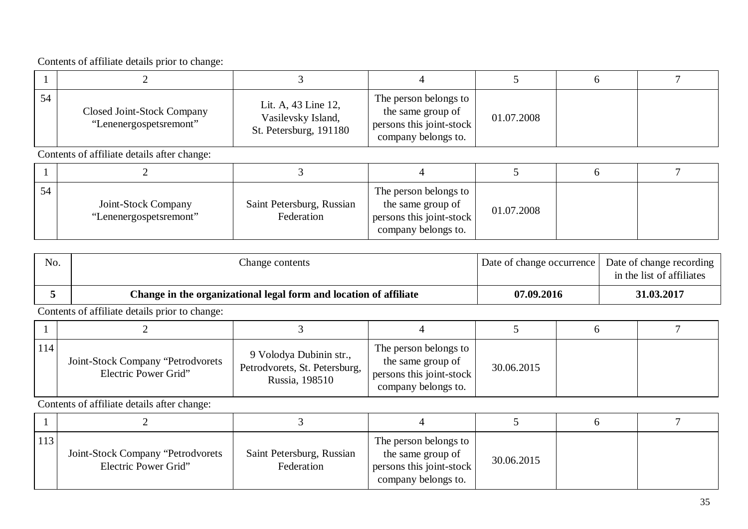| 54 | <b>Closed Joint-Stock Company</b><br>"Lenenergospetsremont" | Lit. A, 43 Line 12,<br>Vasilevsky Island,<br>St. Petersburg, 191180 | The person belongs to<br>the same group of<br>persons this joint-stock<br>company belongs to. | 01.07.2008 |  |
|----|-------------------------------------------------------------|---------------------------------------------------------------------|-----------------------------------------------------------------------------------------------|------------|--|

Contents of affiliate details after change:

| 54 | Joint-Stock Company<br>"Lenenergospetsremont" | Saint Petersburg, Russian<br>Federation | The person belongs to<br>the same group of<br>persons this joint-stock<br>company belongs to. | 01.07.2008 |  |
|----|-----------------------------------------------|-----------------------------------------|-----------------------------------------------------------------------------------------------|------------|--|

| No. | Change contents                                                   | Date of change occurrence   Date of change recording ' | in the list of affiliates |
|-----|-------------------------------------------------------------------|--------------------------------------------------------|---------------------------|
|     | Change in the organizational legal form and location of affiliate | 07.09.2016                                             | 31.03.2017                |

Contents of affiliate details prior to change:

| 114 | Joint-Stock Company "Petrodvorets<br>Electric Power Grid" | 9 Volodya Dubinin str.,<br>Petrodvorets, St. Petersburg,<br>Russia, 198510 | The person belongs to<br>the same group of<br>persons this joint-stock<br>company belongs to. | 30.06.2015 |  |
|-----|-----------------------------------------------------------|----------------------------------------------------------------------------|-----------------------------------------------------------------------------------------------|------------|--|

| 113 | Joint-Stock Company "Petrodvorets<br>Electric Power Grid" | Saint Petersburg, Russian<br>Federation | The person belongs to<br>the same group of<br>persons this joint-stock<br>company belongs to. | 30.06.2015 |  |
|-----|-----------------------------------------------------------|-----------------------------------------|-----------------------------------------------------------------------------------------------|------------|--|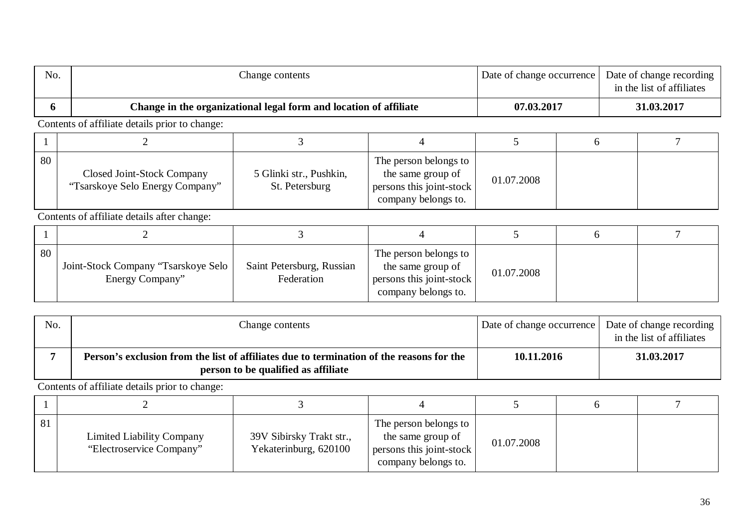| No. |                                                               | Change contents                                                   |                                                                                               | Date of change occurrence |            | Date of change recording<br>in the list of affiliates |  |
|-----|---------------------------------------------------------------|-------------------------------------------------------------------|-----------------------------------------------------------------------------------------------|---------------------------|------------|-------------------------------------------------------|--|
| 6   |                                                               | Change in the organizational legal form and location of affiliate |                                                                                               |                           | 07.03.2017 | 31.03.2017                                            |  |
|     | Contents of affiliate details prior to change:                |                                                                   |                                                                                               |                           |            |                                                       |  |
|     |                                                               |                                                                   |                                                                                               |                           | h          |                                                       |  |
| 80  | Closed Joint-Stock Company<br>"Tsarskoye Selo Energy Company" | 5 Glinki str., Pushkin,<br>St. Petersburg                         | The person belongs to<br>the same group of<br>persons this joint-stock<br>company belongs to. | 01.07.2008                |            |                                                       |  |
|     | Contents of affiliate details after change:                   |                                                                   |                                                                                               |                           |            |                                                       |  |
|     |                                                               | 3                                                                 | 4                                                                                             | 5                         | 6          |                                                       |  |
| 80  | Joint-Stock Company "Tsarskoye Selo<br>Energy Company"        | Saint Petersburg, Russian<br>Federation                           | The person belongs to<br>the same group of<br>persons this joint-stock<br>company belongs to. | 01.07.2008                |            |                                                       |  |

| No. | Change contents                                                                                                                 | Date of change occurrence Date of change recording | in the list of affiliates |
|-----|---------------------------------------------------------------------------------------------------------------------------------|----------------------------------------------------|---------------------------|
|     | Person's exclusion from the list of affiliates due to termination of the reasons for the<br>person to be qualified as affiliate | 10.11.2016                                         | 31.03.2017                |

| 81 | Limited Liability Company<br>"Electroservice Company" | 39V Sibirsky Trakt str.,<br>Yekaterinburg, 620100 | The person belongs to<br>the same group of<br>persons this joint-stock<br>company belongs to. | 01.07.2008 |  |
|----|-------------------------------------------------------|---------------------------------------------------|-----------------------------------------------------------------------------------------------|------------|--|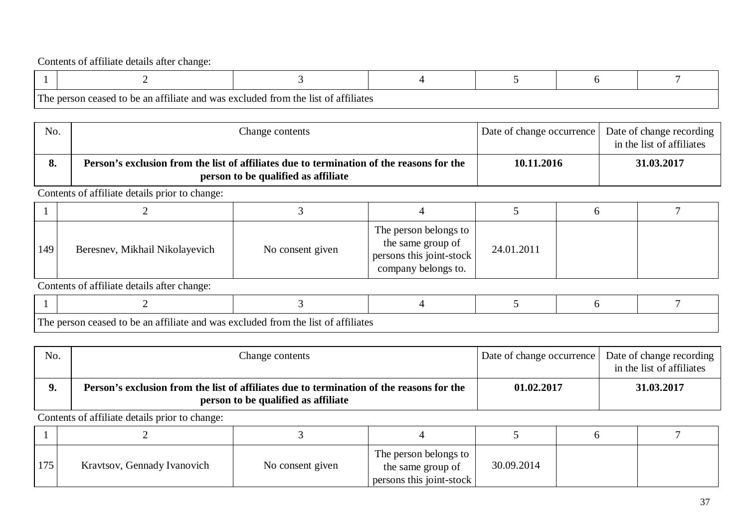| The person<br>reased to be an affiliate and was excluded from the list of affiliates |  |  |  |
|--------------------------------------------------------------------------------------|--|--|--|

| No.       | Change contents                                                                                                                 | Date of change occurrence | Date of change recording<br>in the list of affiliates |
|-----------|---------------------------------------------------------------------------------------------------------------------------------|---------------------------|-------------------------------------------------------|
| $\bullet$ | Person's exclusion from the list of affiliates due to termination of the reasons for the<br>person to be qualified as affiliate | 10.11.2016                | 31.03.2017                                            |

Contents of affiliate details prior to change:

| 149 | Beresnev, Mikhail Nikolayevich | No consent given | The person belongs to<br>the same group of<br>persons this joint-stock<br>company belongs to. | 24.01.2011 |  |
|-----|--------------------------------|------------------|-----------------------------------------------------------------------------------------------|------------|--|

Contents of affiliate details after change:

| The | TΩ<br>ceased<br>son | $\sim$ $\sim$ $\sim$ $\sim$<br>$\omega$ be an affiliate and was excluded from the list of affiliates |  |  |
|-----|---------------------|------------------------------------------------------------------------------------------------------|--|--|

| No. | Change contents                                                                                                                 | Date of change occurrence | Date of change recording  <br>in the list of affiliates |
|-----|---------------------------------------------------------------------------------------------------------------------------------|---------------------------|---------------------------------------------------------|
|     | Person's exclusion from the list of affiliates due to termination of the reasons for the<br>person to be qualified as affiliate | 01.02.2017                | 31.03.2017                                              |

| 175 | Kravtsov, Gennady Ivanovich | No consent given | The person belongs to<br>the same group of<br>persons this joint-stock | 30.09.2014 |  |
|-----|-----------------------------|------------------|------------------------------------------------------------------------|------------|--|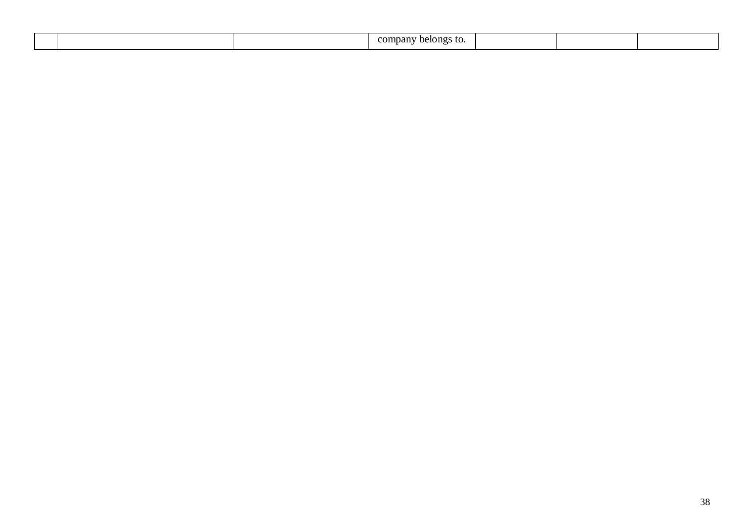|  | company<br>™ tО.<br>pejongs. |  |  |
|--|------------------------------|--|--|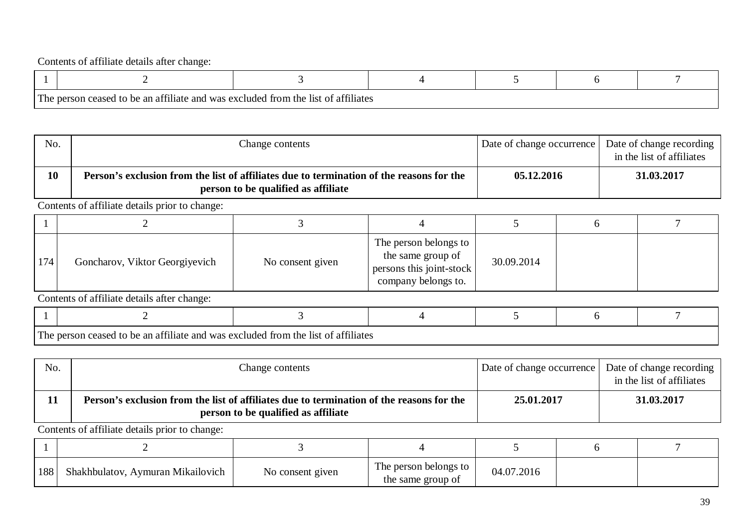| 0.011<br>The person<br>ceased | <b>COMM:</b><br>d to be an affiliate and was excluded from the list of affiliates |  |  |
|-------------------------------|-----------------------------------------------------------------------------------|--|--|

| No. | Change contents                                                                                                                 | Date of change occurrence | Date of change recording<br>in the list of affiliates |
|-----|---------------------------------------------------------------------------------------------------------------------------------|---------------------------|-------------------------------------------------------|
| 10  | Person's exclusion from the list of affiliates due to termination of the reasons for the<br>person to be qualified as affiliate | 05.12.2016                | 31.03.2017                                            |

Contents of affiliate details prior to change:

| 174 | Goncharov, Viktor Georgiyevich | No consent given | The person belongs to<br>the same group of<br>persons this joint-stock<br>company belongs to. | 30.09.2014 |  |
|-----|--------------------------------|------------------|-----------------------------------------------------------------------------------------------|------------|--|

Contents of affiliate details after change:

| The | i ceased to be an affiliate and was excluded from the list of affiliates<br>e person- | <b>POP 1</b> |  |  |
|-----|---------------------------------------------------------------------------------------|--------------|--|--|

No. No. Change contents Change contents and Date of change occurrence Date of change recording in the list of affiliates **11 Person's exclusion from the list of affiliates due to termination of the reasons for the person to be qualified as affiliate 25.01.2017 31.03.2017**

| 188 | Shakhbulatov, Aymuran Mikailovich | No consent given | The person belongs to<br>the same group of | 04.07.2016 |  |
|-----|-----------------------------------|------------------|--------------------------------------------|------------|--|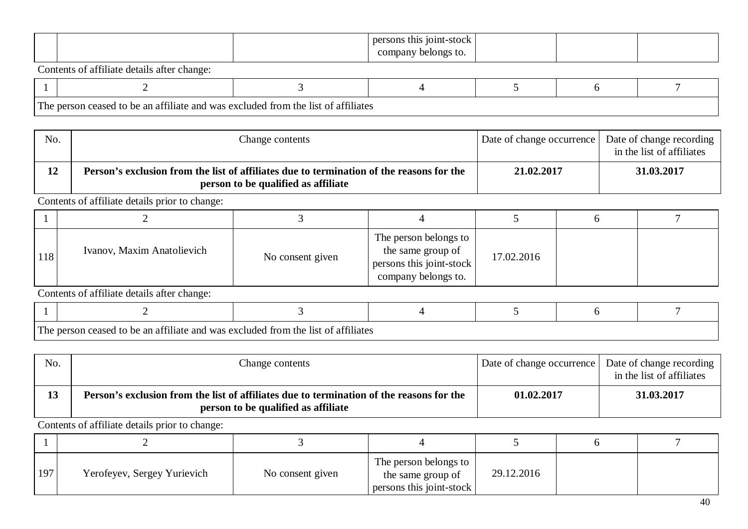|  | persons this<br>` 101nt-stock |  |  |
|--|-------------------------------|--|--|
|  | company<br>belongs to.        |  |  |

| l cont<br>1 he | ttiliate.<br>- an<br>-ano<br>$\mathbf{W}$ | $\sim$<br>as excluded :<br>⊥tr∩m<br>∟th≙ liet<br>attuliates |  |  |
|----------------|-------------------------------------------|-------------------------------------------------------------|--|--|

| No. | Change contents                                                                                                                 | Date of change occurrence   Date of change recording | in the list of affiliates |
|-----|---------------------------------------------------------------------------------------------------------------------------------|------------------------------------------------------|---------------------------|
| 12  | Person's exclusion from the list of affiliates due to termination of the reasons for the<br>person to be qualified as affiliate | 21,02,2017                                           | 31.03.2017                |

Contents of affiliate details prior to change:

| 118 | Ivanov, Maxim Anatolievich | No consent given | The person belongs to  <br>the same group of<br>persons this joint-stock<br>company belongs to. | 17.02.2016 |  |
|-----|----------------------------|------------------|-------------------------------------------------------------------------------------------------|------------|--|

Contents of affiliate details after change:

| m<br>1 ne | an attiliate and<br>ne. | trom<br>l was excluded-<br>attuate:<br>- 11 C T |  |  |
|-----------|-------------------------|-------------------------------------------------|--|--|

| No. | Change contents                                                                                                                 | Date of change occurrence | Date of change recording<br>in the list of affiliates |
|-----|---------------------------------------------------------------------------------------------------------------------------------|---------------------------|-------------------------------------------------------|
| 13  | Person's exclusion from the list of affiliates due to termination of the reasons for the<br>person to be qualified as affiliate | 01.02.2017                | 31.03.2017                                            |

| 197 | Yerofeyev, Sergey Yurievich | No consent given | The person belongs to<br>the same group of<br>persons this joint-stock | 29.12.2016 |  |
|-----|-----------------------------|------------------|------------------------------------------------------------------------|------------|--|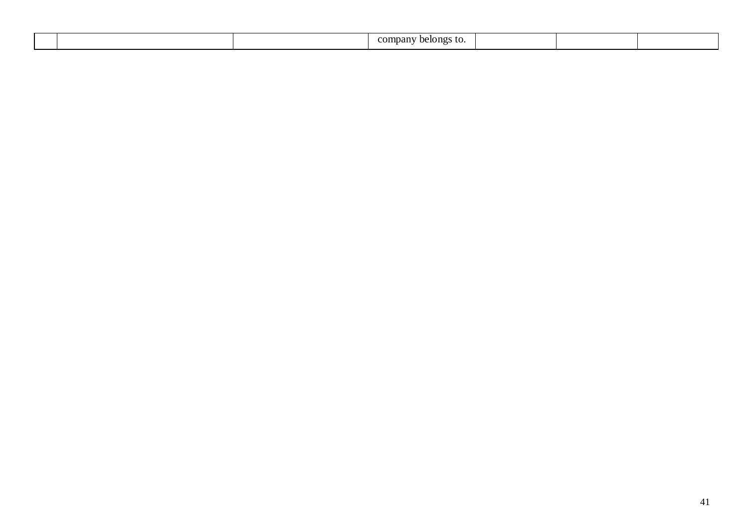|  | company<br>`S IO.<br>belongs. |  |  |
|--|-------------------------------|--|--|
|  |                               |  |  |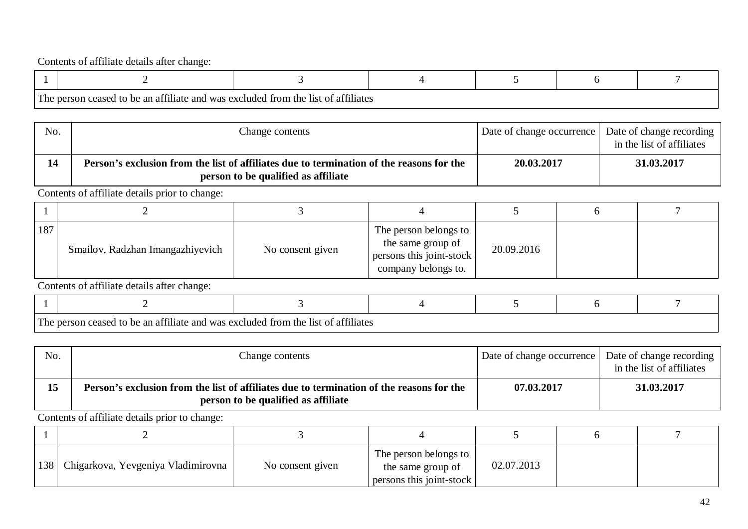| The person<br>reased to be an affiliate and was excluded from the list of affiliates |  |  |  |
|--------------------------------------------------------------------------------------|--|--|--|

| No. | Change contents                                                                                                                 | Date of change occurrence | Date of change recording 1<br>in the list of affiliates |
|-----|---------------------------------------------------------------------------------------------------------------------------------|---------------------------|---------------------------------------------------------|
| 14  | Person's exclusion from the list of affiliates due to termination of the reasons for the<br>person to be qualified as affiliate | 20.03.2017                | 31.03.2017                                              |

Contents of affiliate details prior to change:

| 187 | Smailov, Radzhan Imangazhiyevich | No consent given | The person belongs to<br>the same group of<br>persons this joint-stock<br>company belongs to. | 20.09.2016 |  |
|-----|----------------------------------|------------------|-----------------------------------------------------------------------------------------------|------------|--|

Contents of affiliate details after change:

| Th. | 0.021<br>i ceased to be an affiliate and was excluded from the list of affiliates | <b>BO 11</b> |  |  |
|-----|-----------------------------------------------------------------------------------|--------------|--|--|

| No. | Change contents                                                                                                                 | Date of change occurrence Date of change recording | in the list of affiliates |
|-----|---------------------------------------------------------------------------------------------------------------------------------|----------------------------------------------------|---------------------------|
| 15  | Person's exclusion from the list of affiliates due to termination of the reasons for the<br>person to be qualified as affiliate | 07.03.2017                                         | 31.03.2017                |

| 138   Chigarkova, Yevgeniya Vladimirovna | No consent given | The person belongs to<br>the same group of<br>persons this joint-stock | 02.07.2013 |  |
|------------------------------------------|------------------|------------------------------------------------------------------------|------------|--|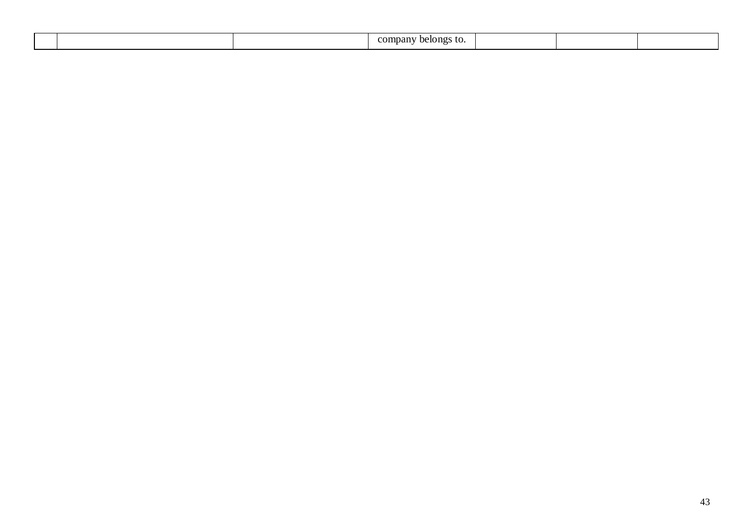|  | company<br>`S IO.<br>belongs. |  |  |
|--|-------------------------------|--|--|
|  |                               |  |  |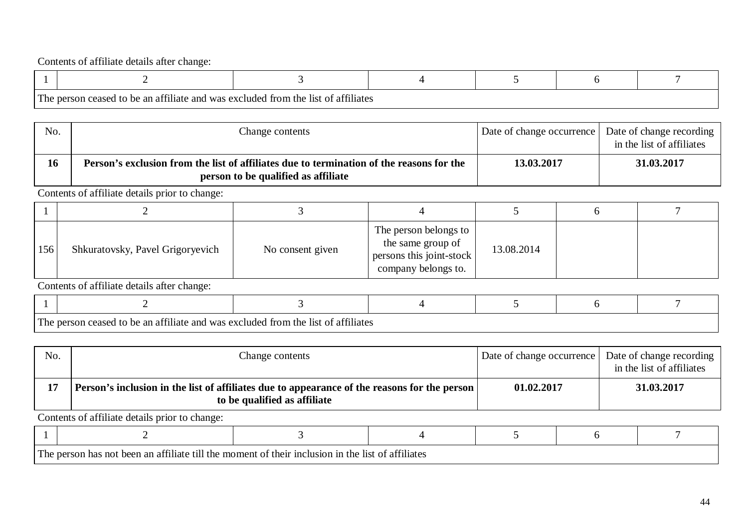| The person<br>reased to be an affiliate and was excluded from the list of affiliates |  |  |  |
|--------------------------------------------------------------------------------------|--|--|--|

| No. | Change contents                                                                                                                 | Date of change occurrence | Date of change recording<br>in the list of affiliates |
|-----|---------------------------------------------------------------------------------------------------------------------------------|---------------------------|-------------------------------------------------------|
| 16  | Person's exclusion from the list of affiliates due to termination of the reasons for the<br>person to be qualified as affiliate | 13.03.2017                | 31.03.2017                                            |

Contents of affiliate details prior to change:

| 156 | Shkuratovsky, Pavel Grigoryevich | No consent given | The person belongs to<br>the same group of<br>persons this joint-stock<br>company belongs to. | 13.08.2014 |  |
|-----|----------------------------------|------------------|-----------------------------------------------------------------------------------------------|------------|--|

Contents of affiliate details after change:

| The | $\sim$ $\sim$ $\sim$<br>ceased to be an affiliate and was<br>30n | s excluded from the list of affiliates |  |  |
|-----|------------------------------------------------------------------|----------------------------------------|--|--|

| No. | Change contents                                                                                                              | Date of change occurrence | Date of change recording<br>in the list of affiliates |
|-----|------------------------------------------------------------------------------------------------------------------------------|---------------------------|-------------------------------------------------------|
| 17  | Person's inclusion in the list of affiliates due to appearance of the reasons for the person<br>to be qualified as affiliate | 01.02.2017                | 31.03.2017                                            |

| The | 1 l 1 Ω t A<br>ha:<br>'s∩n<br>noi<br>-an<br>വു | ាn.<br>11<br>he 11<br>חרויויי∩י<br>moment<br>∩⊤ | attiliate<br>$\sim$ +<br>11 C 1 |  |  |
|-----|------------------------------------------------|-------------------------------------------------|---------------------------------|--|--|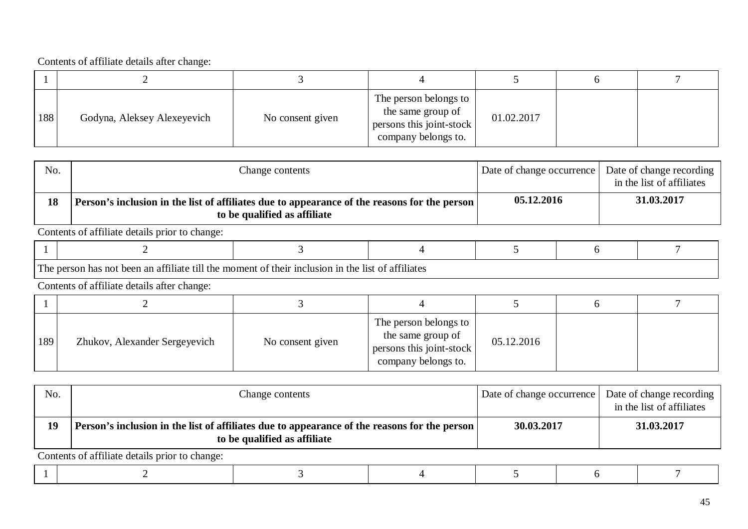| 188 | Godyna, Aleksey Alexeyevich | No consent given | The person belongs to<br>the same group of<br>persons this joint-stock<br>company belongs to. | 01.02.2017 |  |
|-----|-----------------------------|------------------|-----------------------------------------------------------------------------------------------|------------|--|

| No. | Change contents                                                                                                                | Date of change occurrence Date of change recording | in the list of affiliates |
|-----|--------------------------------------------------------------------------------------------------------------------------------|----------------------------------------------------|---------------------------|
| 18  | Person's inclusion in the list of affiliates due to appearance of the reasons for the person  <br>to be qualified as affiliate | 05.12.2016                                         | 31.03.2017                |

Contents of affiliate details prior to change:

|--|--|--|--|--|--|--|--|

The person has not been an affiliate till the moment of their inclusion in the list of affiliates

Contents of affiliate details after change:

| 189 | Zhukov, Alexander Sergeyevich | No consent given | The person belongs to<br>the same group of<br>persons this joint-stock<br>company belongs to. | 05.12.2016 |  |
|-----|-------------------------------|------------------|-----------------------------------------------------------------------------------------------|------------|--|

| No. | Change contents                                                                                                                      | Date of change occurrence | Date of change recording<br>in the list of affiliates |
|-----|--------------------------------------------------------------------------------------------------------------------------------------|---------------------------|-------------------------------------------------------|
| 19  | Person's inclusion in the list of affiliates due to appearance of the reasons for the person $\vert$<br>to be qualified as affiliate | 30.03.2017                | 31.03.2017                                            |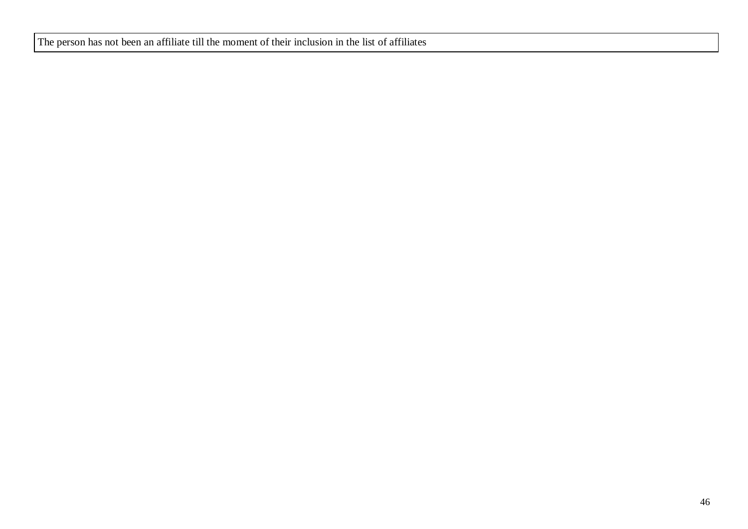The person has not been an affiliate till the moment of their inclusion in the list of affiliates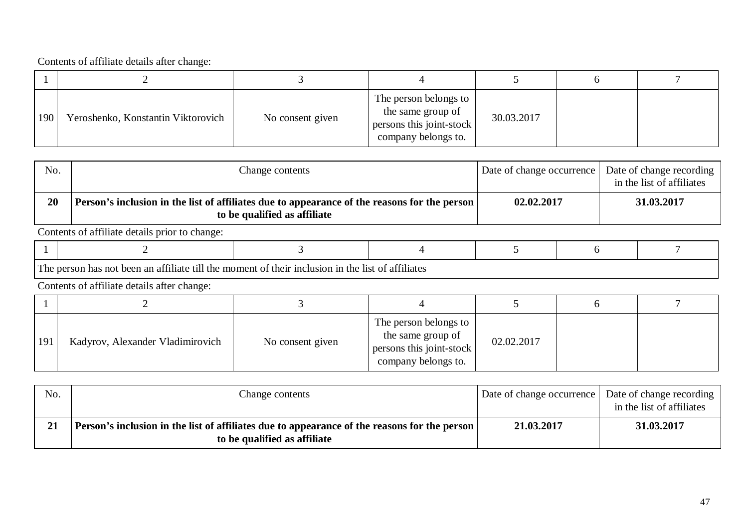| 190 | Yeroshenko, Konstantin Viktorovich | No consent given | The person belongs to<br>the same group of<br>persons this joint-stock<br>company belongs to. | 30.03.2017 |  |
|-----|------------------------------------|------------------|-----------------------------------------------------------------------------------------------|------------|--|

| No. | Change contents                                                                                                              | Date of change occurrence | Date of change recording<br>in the list of affiliates |
|-----|------------------------------------------------------------------------------------------------------------------------------|---------------------------|-------------------------------------------------------|
| 20  | Person's inclusion in the list of affiliates due to appearance of the reasons for the person<br>to be qualified as affiliate | 02.02.2017                | 31.03.2017                                            |

Contents of affiliate details prior to change:

|--|--|--|--|--|--|--|--|

The person has not been an affiliate till the moment of their inclusion in the list of affiliates

| 191 | Kadyrov, Alexander Vladimirovich | No consent given | The person belongs to<br>the same group of<br>persons this joint-stock<br>company belongs to. | 02.02.2017 |  |
|-----|----------------------------------|------------------|-----------------------------------------------------------------------------------------------|------------|--|

| No. | Change contents                                                                                                                | Date of change occurrence | Date of change recording<br>in the list of affiliates |
|-----|--------------------------------------------------------------------------------------------------------------------------------|---------------------------|-------------------------------------------------------|
| 21  | Person's inclusion in the list of affiliates due to appearance of the reasons for the person  <br>to be qualified as affiliate | 21.03.2017                | 31.03.2017                                            |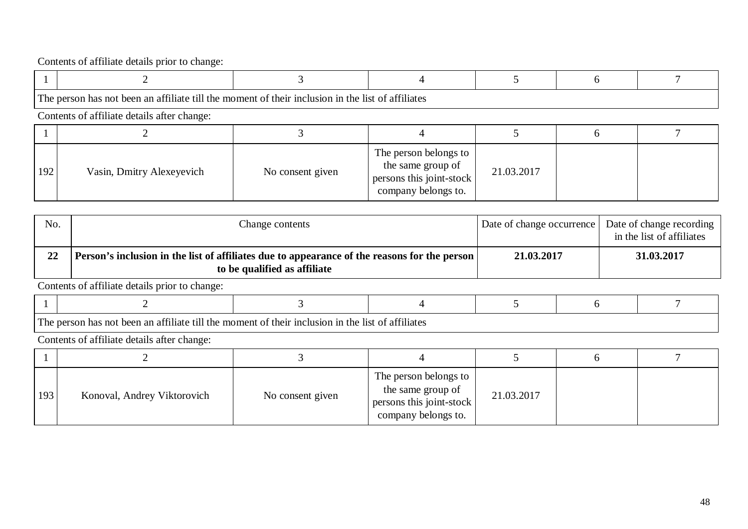|     | The person has not been an affiliate till the moment of their inclusion in the list of affiliates |                  |                                                                                               |            |  |
|-----|---------------------------------------------------------------------------------------------------|------------------|-----------------------------------------------------------------------------------------------|------------|--|
|     | Contents of affiliate details after change:                                                       |                  |                                                                                               |            |  |
|     |                                                                                                   |                  |                                                                                               |            |  |
| 192 | Vasin, Dmitry Alexeyevich                                                                         | No consent given | The person belongs to<br>the same group of<br>persons this joint-stock<br>company belongs to. | 21.03.2017 |  |

| No. | Change contents                                                                                                                     | Date of change occurrence | Date of change recording<br>in the list of affiliates |
|-----|-------------------------------------------------------------------------------------------------------------------------------------|---------------------------|-------------------------------------------------------|
| 22  | <b>Person's inclusion in the list of affiliates due to appearance of the reasons for the person</b><br>to be qualified as affiliate | 21.03.2017                | 31.03.2017                                            |

Contents of affiliate details prior to change:

| $\mathbf{m}$<br>1A11° 11<br>momeni<br>l the<br>of attiliates.<br>. 11   1<br>lueior<br>- 11 et<br>- attiliate<br>heen<br>- วาท<br>nas |  |  |  |  |  |  |  |
|---------------------------------------------------------------------------------------------------------------------------------------|--|--|--|--|--|--|--|

| 193 | Konoval, Andrey Viktorovich | No consent given | The person belongs to<br>the same group of<br>persons this joint-stock<br>company belongs to. | 21.03.2017 |  |
|-----|-----------------------------|------------------|-----------------------------------------------------------------------------------------------|------------|--|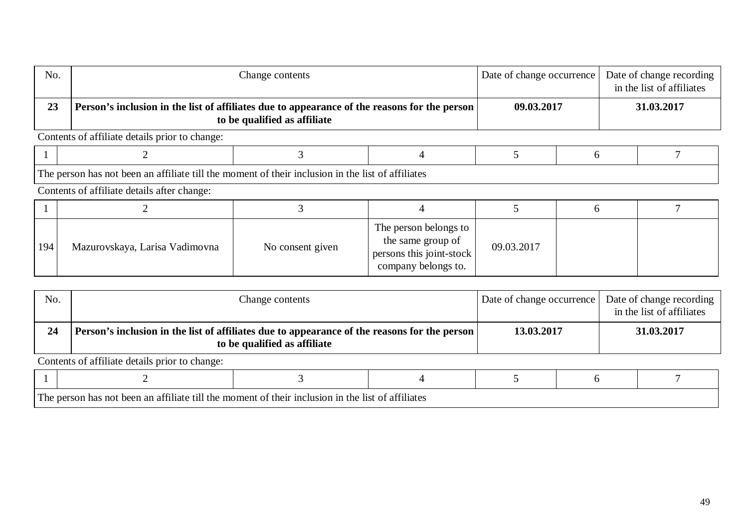| No.                                            | Change contents                                                                                                              |                  |                                                                                               | Date of change occurrence |              | Date of change recording<br>in the list of affiliates |            |  |
|------------------------------------------------|------------------------------------------------------------------------------------------------------------------------------|------------------|-----------------------------------------------------------------------------------------------|---------------------------|--------------|-------------------------------------------------------|------------|--|
| 23                                             | Person's inclusion in the list of affiliates due to appearance of the reasons for the person<br>to be qualified as affiliate |                  |                                                                                               | 09.03.2017                |              |                                                       | 31.03.2017 |  |
| Contents of affiliate details prior to change: |                                                                                                                              |                  |                                                                                               |                           |              |                                                       |            |  |
|                                                |                                                                                                                              |                  |                                                                                               |                           | <sub>n</sub> |                                                       |            |  |
|                                                | The person has not been an affiliate till the moment of their inclusion in the list of affiliates                            |                  |                                                                                               |                           |              |                                                       |            |  |
| Contents of affiliate details after change:    |                                                                                                                              |                  |                                                                                               |                           |              |                                                       |            |  |
|                                                |                                                                                                                              |                  |                                                                                               |                           | <sub>0</sub> |                                                       |            |  |
| 194                                            | Mazurovskaya, Larisa Vadimovna                                                                                               | No consent given | The person belongs to<br>the same group of<br>persons this joint-stock<br>company belongs to. | 09.03.2017                |              |                                                       |            |  |

| No.                                            | Change contents                                                                                                              |  |  | Date of change occurrence |  | Date of change recording<br>in the list of affiliates |  |  |
|------------------------------------------------|------------------------------------------------------------------------------------------------------------------------------|--|--|---------------------------|--|-------------------------------------------------------|--|--|
| 24                                             | Person's inclusion in the list of affiliates due to appearance of the reasons for the person<br>to be qualified as affiliate |  |  | 13.03.2017                |  | 31.03.2017                                            |  |  |
| Contents of affiliate details prior to change: |                                                                                                                              |  |  |                           |  |                                                       |  |  |
|                                                |                                                                                                                              |  |  |                           |  |                                                       |  |  |

The person has not been an affiliate till the moment of their inclusion in the list of affiliates